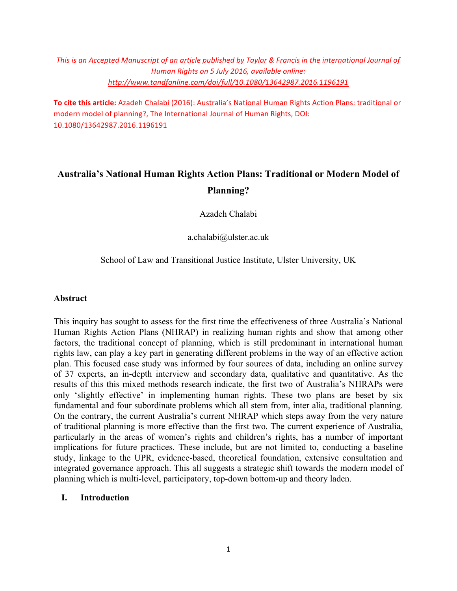*This is an Accepted Manuscript of an article published by Taylor & Francis in the international Journal of Human Rights on 5 July 2016, available online: http://www.tandfonline.com/doi/full/10.1080/13642987.2016.1196191*

To cite this article: Azadeh Chalabi (2016): Australia's National Human Rights Action Plans: traditional or modern model of planning?, The International Journal of Human Rights, DOI: 10.1080/13642987.2016.1196191

# **Australia's National Human Rights Action Plans: Traditional or Modern Model of Planning?**

Azadeh Chalabi

a.chalabi@ulster.ac.uk

## School of Law and Transitional Justice Institute, Ulster University, UK

## **Abstract**

This inquiry has sought to assess for the first time the effectiveness of three Australia's National Human Rights Action Plans (NHRAP) in realizing human rights and show that among other factors, the traditional concept of planning, which is still predominant in international human rights law, can play a key part in generating different problems in the way of an effective action plan. This focused case study was informed by four sources of data, including an online survey of 37 experts, an in-depth interview and secondary data, qualitative and quantitative. As the results of this this mixed methods research indicate, the first two of Australia's NHRAPs were only 'slightly effective' in implementing human rights. These two plans are beset by six fundamental and four subordinate problems which all stem from, inter alia, traditional planning. On the contrary, the current Australia's current NHRAP which steps away from the very nature of traditional planning is more effective than the first two. The current experience of Australia, particularly in the areas of women's rights and children's rights, has a number of important implications for future practices. These include, but are not limited to, conducting a baseline study, linkage to the UPR, evidence-based, theoretical foundation, extensive consultation and integrated governance approach. This all suggests a strategic shift towards the modern model of planning which is multi-level, participatory, top-down bottom-up and theory laden.

## **I. Introduction**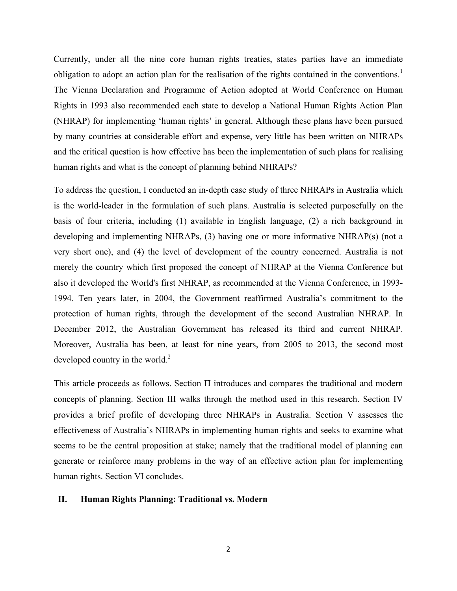Currently, under all the nine core human rights treaties, states parties have an immediate obligation to adopt an action plan for the realisation of the rights contained in the conventions.<sup>1</sup> The Vienna Declaration and Programme of Action adopted at World Conference on Human Rights in 1993 also recommended each state to develop a National Human Rights Action Plan (NHRAP) for implementing 'human rights' in general. Although these plans have been pursued by many countries at considerable effort and expense, very little has been written on NHRAPs and the critical question is how effective has been the implementation of such plans for realising human rights and what is the concept of planning behind NHRAPs?

To address the question, I conducted an in-depth case study of three NHRAPs in Australia which is the world-leader in the formulation of such plans. Australia is selected purposefully on the basis of four criteria, including (1) available in English language, (2) a rich background in developing and implementing NHRAPs, (3) having one or more informative NHRAP(s) (not a very short one), and (4) the level of development of the country concerned. Australia is not merely the country which first proposed the concept of NHRAP at the Vienna Conference but also it developed the World's first NHRAP, as recommended at the Vienna Conference, in 1993- 1994. Ten years later, in 2004, the Government reaffirmed Australia's commitment to the protection of human rights, through the development of the second Australian NHRAP. In December 2012, the Australian Government has released its third and current NHRAP. Moreover, Australia has been, at least for nine years, from 2005 to 2013, the second most developed country in the world. $^{2}$ 

This article proceeds as follows. Section Π introduces and compares the traditional and modern concepts of planning. Section III walks through the method used in this research. Section IV provides a brief profile of developing three NHRAPs in Australia. Section V assesses the effectiveness of Australia's NHRAPs in implementing human rights and seeks to examine what seems to be the central proposition at stake; namely that the traditional model of planning can generate or reinforce many problems in the way of an effective action plan for implementing human rights. Section VI concludes.

## **II. Human Rights Planning: Traditional vs. Modern**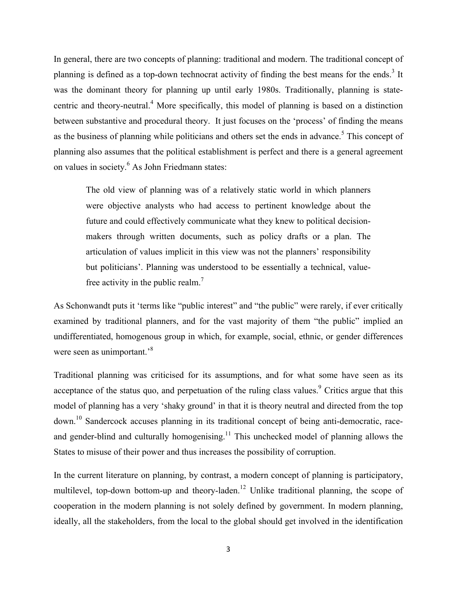In general, there are two concepts of planning: traditional and modern. The traditional concept of planning is defined as a top-down technocrat activity of finding the best means for the ends.<sup>3</sup> It was the dominant theory for planning up until early 1980s. Traditionally, planning is statecentric and theory-neutral.<sup>4</sup> More specifically, this model of planning is based on a distinction between substantive and procedural theory. It just focuses on the 'process' of finding the means as the business of planning while politicians and others set the ends in advance.<sup>5</sup> This concept of planning also assumes that the political establishment is perfect and there is a general agreement on values in society.6 As John Friedmann states:

The old view of planning was of a relatively static world in which planners were objective analysts who had access to pertinent knowledge about the future and could effectively communicate what they knew to political decisionmakers through written documents, such as policy drafts or a plan. The articulation of values implicit in this view was not the planners' responsibility but politicians'. Planning was understood to be essentially a technical, valuefree activity in the public realm.<sup>7</sup>

As Schonwandt puts it 'terms like "public interest" and "the public" were rarely, if ever critically examined by traditional planners, and for the vast majority of them "the public" implied an undifferentiated, homogenous group in which, for example, social, ethnic, or gender differences were seen as unimportant.<sup>8</sup>

Traditional planning was criticised for its assumptions, and for what some have seen as its acceptance of the status quo, and perpetuation of the ruling class values.<sup>9</sup> Critics argue that this model of planning has a very 'shaky ground' in that it is theory neutral and directed from the top down.<sup>10</sup> Sandercock accuses planning in its traditional concept of being anti-democratic, raceand gender-blind and culturally homogenising.<sup>11</sup> This unchecked model of planning allows the States to misuse of their power and thus increases the possibility of corruption.

In the current literature on planning, by contrast, a modern concept of planning is participatory, multilevel, top-down bottom-up and theory-laden.<sup>12</sup> Unlike traditional planning, the scope of cooperation in the modern planning is not solely defined by government. In modern planning, ideally, all the stakeholders, from the local to the global should get involved in the identification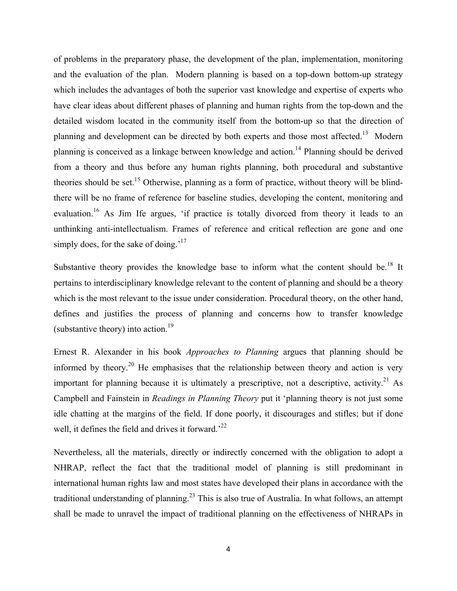of problems in the preparatory phase, the development of the plan, implementation, monitoring and the evaluation of the plan. Modern planning is based on a top-down bottom-up strategy which includes the advantages of both the superior vast knowledge and expertise of experts who have clear ideas about different phases of planning and human rights from the top-down and the detailed wisdom located in the community itself from the bottom-up so that the direction of planning and development can be directed by both experts and those most affected.<sup>13</sup> Modern planning is conceived as a linkage between knowledge and action.<sup>14</sup> Planning should be derived from a theory and thus before any human rights planning, both procedural and substantive theories should be set.<sup>15</sup> Otherwise, planning as a form of practice, without theory will be blindthere will be no frame of reference for baseline studies, developing the content, monitoring and evaluation.<sup>16</sup> As Jim Ife argues, 'if practice is totally divorced from theory it leads to an unthinking anti-intellectualism. Frames of reference and critical reflection are gone and one simply does, for the sake of doing.<sup>17</sup>

Substantive theory provides the knowledge base to inform what the content should be.<sup>18</sup> It pertains to interdisciplinary knowledge relevant to the content of planning and should be a theory which is the most relevant to the issue under consideration. Procedural theory, on the other hand, defines and justifies the process of planning and concerns how to transfer knowledge (substantive theory) into action.<sup>19</sup>

Ernest R. Alexander in his book *Approaches to Planning* argues that planning should be informed by theory.<sup>20</sup> He emphasises that the relationship between theory and action is very important for planning because it is ultimately a prescriptive, not a descriptive, activity.<sup>21</sup> As Campbell and Fainstein in *Readings in Planning Theory* put it 'planning theory is not just some idle chatting at the margins of the field. If done poorly, it discourages and stifles; but if done well, it defines the field and drives it forward.<sup>22</sup>

Nevertheless, all the materials, directly or indirectly concerned with the obligation to adopt a NHRAP, reflect the fact that the traditional model of planning is still predominant in international human rights law and most states have developed their plans in accordance with the traditional understanding of planning.<sup>23</sup> This is also true of Australia. In what follows, an attempt shall be made to unravel the impact of traditional planning on the effectiveness of NHRAPs in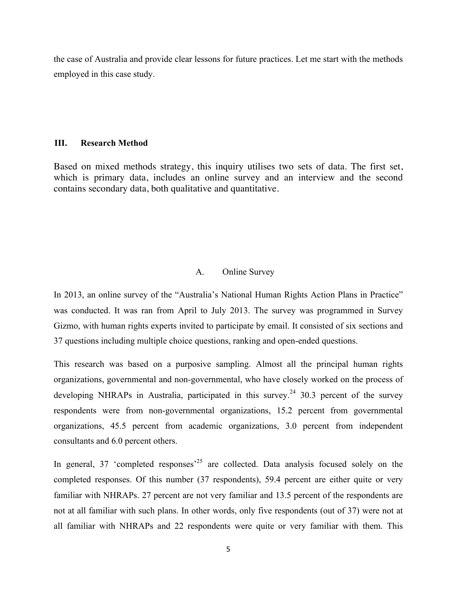the case of Australia and provide clear lessons for future practices. Let me start with the methods employed in this case study.

#### **III. Research Method**

Based on mixed methods strategy, this inquiry utilises two sets of data. The first set, which is primary data, includes an online survey and an interview and the second contains secondary data, both qualitative and quantitative.

## A. Online Survey

In 2013, an online survey of the "Australia's National Human Rights Action Plans in Practice" was conducted. It was ran from April to July 2013. The survey was programmed in Survey Gizmo, with human rights experts invited to participate by email. It consisted of six sections and 37 questions including multiple choice questions, ranking and open-ended questions.

This research was based on a purposive sampling. Almost all the principal human rights organizations, governmental and non-governmental, who have closely worked on the process of developing NHRAPs in Australia, participated in this survey.<sup>24</sup> 30.3 percent of the survey respondents were from non-governmental organizations, 15.2 percent from governmental organizations, 45.5 percent from academic organizations, 3.0 percent from independent consultants and 6.0 percent others.

In general, 37 'completed responses<sup> $25$ </sup> are collected. Data analysis focused solely on the completed responses. Of this number (37 respondents), 59.4 percent are either quite or very familiar with NHRAPs. 27 percent are not very familiar and 13.5 percent of the respondents are not at all familiar with such plans. In other words, only five respondents (out of 37) were not at all familiar with NHRAPs and 22 respondents were quite or very familiar with them. This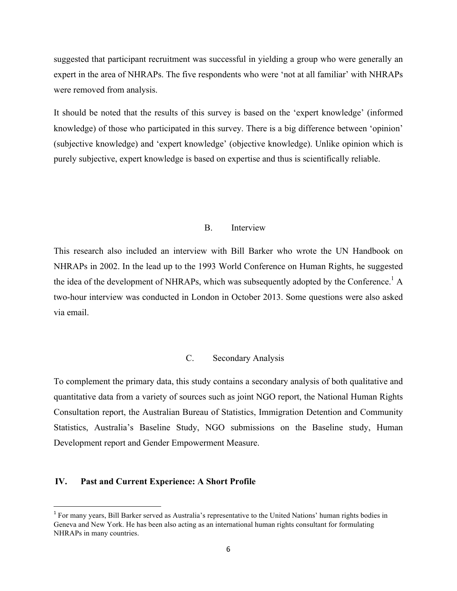suggested that participant recruitment was successful in yielding a group who were generally an expert in the area of NHRAPs. The five respondents who were 'not at all familiar' with NHRAPs were removed from analysis.

It should be noted that the results of this survey is based on the 'expert knowledge' (informed knowledge) of those who participated in this survey. There is a big difference between 'opinion' (subjective knowledge) and 'expert knowledge' (objective knowledge). Unlike opinion which is purely subjective, expert knowledge is based on expertise and thus is scientifically reliable.

## B. Interview

This research also included an interview with Bill Barker who wrote the UN Handbook on NHRAPs in 2002. In the lead up to the 1993 World Conference on Human Rights, he suggested the idea of the development of NHRAPs, which was subsequently adopted by the Conference.<sup>1</sup> A two-hour interview was conducted in London in October 2013. Some questions were also asked via email.

# C. Secondary Analysis

To complement the primary data, this study contains a secondary analysis of both qualitative and quantitative data from a variety of sources such as joint NGO report, the National Human Rights Consultation report, the Australian Bureau of Statistics, Immigration Detention and Community Statistics, Australia's Baseline Study, NGO submissions on the Baseline study, Human Development report and Gender Empowerment Measure.

## **IV. Past and Current Experience: A Short Profile**

 

<sup>&</sup>lt;sup>1</sup> For many years, Bill Barker served as Australia's representative to the United Nations' human rights bodies in Geneva and New York. He has been also acting as an international human rights consultant for formulating NHRAPs in many countries.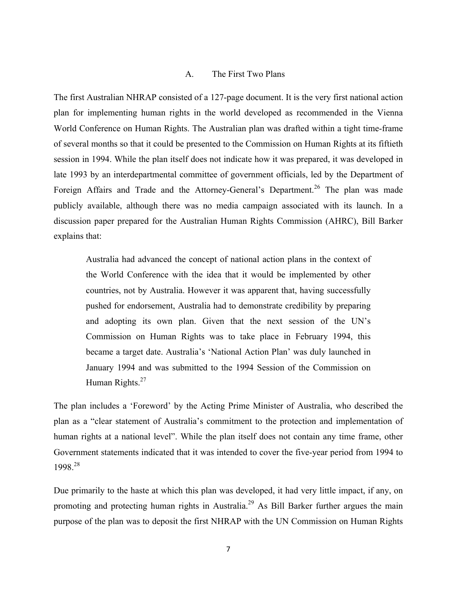#### A. The First Two Plans

The first Australian NHRAP consisted of a 127-page document. It is the very first national action plan for implementing human rights in the world developed as recommended in the Vienna World Conference on Human Rights. The Australian plan was drafted within a tight time-frame of several months so that it could be presented to the Commission on Human Rights at its fiftieth session in 1994. While the plan itself does not indicate how it was prepared, it was developed in late 1993 by an interdepartmental committee of government officials, led by the Department of Foreign Affairs and Trade and the Attorney-General's Department.<sup>26</sup> The plan was made publicly available, although there was no media campaign associated with its launch. In a discussion paper prepared for the Australian Human Rights Commission (AHRC), Bill Barker explains that:

Australia had advanced the concept of national action plans in the context of the World Conference with the idea that it would be implemented by other countries, not by Australia. However it was apparent that, having successfully pushed for endorsement, Australia had to demonstrate credibility by preparing and adopting its own plan. Given that the next session of the UN's Commission on Human Rights was to take place in February 1994, this became a target date. Australia's 'National Action Plan' was duly launched in January 1994 and was submitted to the 1994 Session of the Commission on Human Rights.<sup>27</sup>

The plan includes a 'Foreword' by the Acting Prime Minister of Australia, who described the plan as a "clear statement of Australia's commitment to the protection and implementation of human rights at a national level". While the plan itself does not contain any time frame, other Government statements indicated that it was intended to cover the five-year period from 1994 to 1998.<sup>28</sup>

Due primarily to the haste at which this plan was developed, it had very little impact, if any, on promoting and protecting human rights in Australia.<sup>29</sup> As Bill Barker further argues the main purpose of the plan was to deposit the first NHRAP with the UN Commission on Human Rights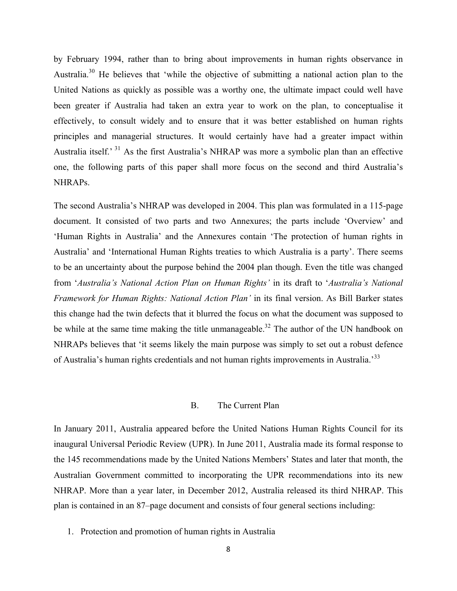by February 1994, rather than to bring about improvements in human rights observance in Australia.<sup>30</sup> He believes that 'while the objective of submitting a national action plan to the United Nations as quickly as possible was a worthy one, the ultimate impact could well have been greater if Australia had taken an extra year to work on the plan, to conceptualise it effectively, to consult widely and to ensure that it was better established on human rights principles and managerial structures. It would certainly have had a greater impact within Australia itself.' <sup>31</sup> As the first Australia's NHRAP was more a symbolic plan than an effective one, the following parts of this paper shall more focus on the second and third Australia's NHRAPs.

The second Australia's NHRAP was developed in 2004. This plan was formulated in a 115-page document. It consisted of two parts and two Annexures; the parts include 'Overview' and 'Human Rights in Australia' and the Annexures contain 'The protection of human rights in Australia' and 'International Human Rights treaties to which Australia is a party'. There seems to be an uncertainty about the purpose behind the 2004 plan though. Even the title was changed from '*Australia's National Action Plan on Human Rights'* in its draft to '*Australia's National Framework for Human Rights: National Action Plan'* in its final version. As Bill Barker states this change had the twin defects that it blurred the focus on what the document was supposed to be while at the same time making the title unmanageable.<sup>32</sup> The author of the UN handbook on NHRAPs believes that 'it seems likely the main purpose was simply to set out a robust defence of Australia's human rights credentials and not human rights improvements in Australia.<sup>33</sup>

#### B. The Current Plan

In January 2011, Australia appeared before the United Nations Human Rights Council for its inaugural Universal Periodic Review (UPR). In June 2011, Australia made its formal response to the 145 recommendations made by the United Nations Members' States and later that month, the Australian Government committed to incorporating the UPR recommendations into its new NHRAP. More than a year later, in December 2012, Australia released its third NHRAP. This plan is contained in an 87–page document and consists of four general sections including:

1. Protection and promotion of human rights in Australia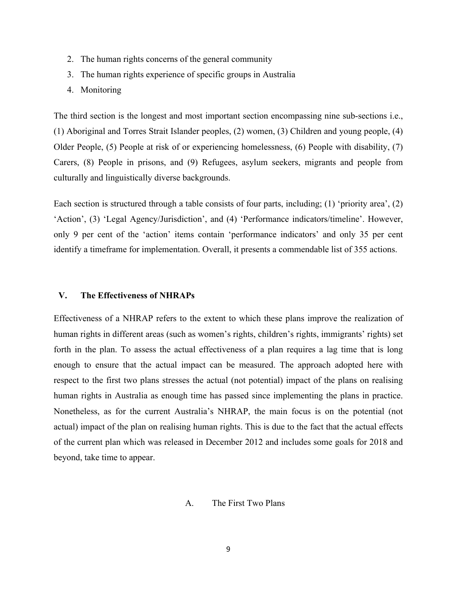- 2. The human rights concerns of the general community
- 3. The human rights experience of specific groups in Australia
- 4. Monitoring

The third section is the longest and most important section encompassing nine sub-sections i.e., (1) Aboriginal and Torres Strait Islander peoples, (2) women, (3) Children and young people, (4) Older People, (5) People at risk of or experiencing homelessness, (6) People with disability, (7) Carers, (8) People in prisons, and (9) Refugees, asylum seekers, migrants and people from culturally and linguistically diverse backgrounds.

Each section is structured through a table consists of four parts, including; (1) 'priority area', (2) 'Action', (3) 'Legal Agency/Jurisdiction', and (4) 'Performance indicators/timeline'. However, only 9 per cent of the 'action' items contain 'performance indicators' and only 35 per cent identify a timeframe for implementation. Overall, it presents a commendable list of 355 actions.

## **V. The Effectiveness of NHRAPs**

Effectiveness of a NHRAP refers to the extent to which these plans improve the realization of human rights in different areas (such as women's rights, children's rights, immigrants' rights) set forth in the plan. To assess the actual effectiveness of a plan requires a lag time that is long enough to ensure that the actual impact can be measured. The approach adopted here with respect to the first two plans stresses the actual (not potential) impact of the plans on realising human rights in Australia as enough time has passed since implementing the plans in practice. Nonetheless, as for the current Australia's NHRAP, the main focus is on the potential (not actual) impact of the plan on realising human rights. This is due to the fact that the actual effects of the current plan which was released in December 2012 and includes some goals for 2018 and beyond, take time to appear.

A. The First Two Plans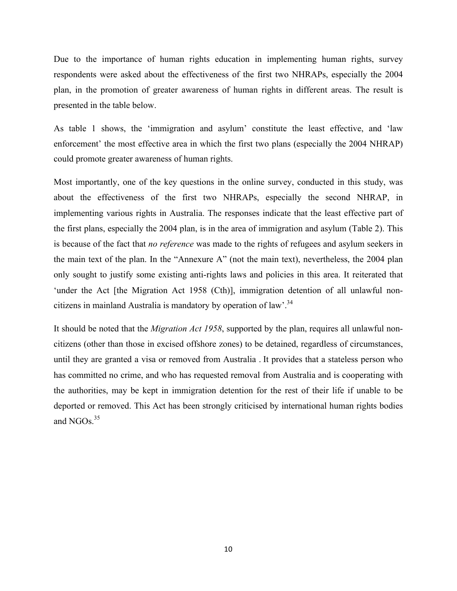Due to the importance of human rights education in implementing human rights, survey respondents were asked about the effectiveness of the first two NHRAPs, especially the 2004 plan, in the promotion of greater awareness of human rights in different areas. The result is presented in the table below.

As table 1 shows, the 'immigration and asylum' constitute the least effective, and 'law enforcement' the most effective area in which the first two plans (especially the 2004 NHRAP) could promote greater awareness of human rights.

Most importantly, one of the key questions in the online survey, conducted in this study, was about the effectiveness of the first two NHRAPs, especially the second NHRAP, in implementing various rights in Australia. The responses indicate that the least effective part of the first plans, especially the 2004 plan, is in the area of immigration and asylum (Table 2). This is because of the fact that *no reference* was made to the rights of refugees and asylum seekers in the main text of the plan. In the "Annexure A" (not the main text), nevertheless, the 2004 plan only sought to justify some existing anti-rights laws and policies in this area. It reiterated that 'under the Act [the Migration Act 1958 (Cth)], immigration detention of all unlawful noncitizens in mainland Australia is mandatory by operation of law'.<sup>34</sup>

It should be noted that the *Migration Act 1958*, supported by the plan, requires all unlawful noncitizens (other than those in excised offshore zones) to be detained, regardless of circumstances, until they are granted a visa or removed from Australia . It provides that a stateless person who has committed no crime, and who has requested removal from Australia and is cooperating with the authorities, may be kept in immigration detention for the rest of their life if unable to be deported or removed. This Act has been strongly criticised by international human rights bodies and NGOs. $35$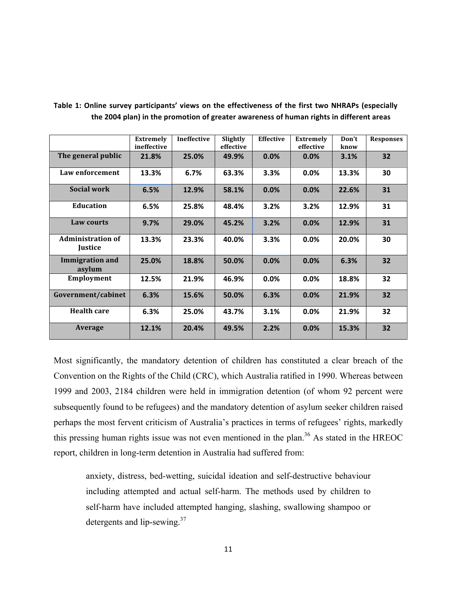|                                            | <b>Extremely</b><br>ineffective | <b>Ineffective</b> | Slightly<br>effective | <b>Effective</b> | <b>Extremely</b><br>effective | Don't<br>know | <b>Responses</b> |
|--------------------------------------------|---------------------------------|--------------------|-----------------------|------------------|-------------------------------|---------------|------------------|
| The general public                         | 21.8%                           | 25.0%              | 49.9%                 | 0.0%             | 0.0%                          | 3.1%          | 32               |
| Law enforcement                            | 13.3%                           | 6.7%               | 63.3%                 | 3.3%             | $0.0\%$                       | 13.3%         | 30               |
| Social work                                | 6.5%                            | 12.9%              | 58.1%                 | 0.0%             | 0.0%                          | 22.6%         | 31               |
| <b>Education</b>                           | 6.5%                            | 25.8%              | 48.4%                 | 3.2%             | 3.2%                          | 12.9%         | 31               |
| Law courts                                 | 9.7%                            | 29.0%              | 45.2%                 | 3.2%             | 0.0%                          | 12.9%         | 31               |
| <b>Administration of</b><br><b>Iustice</b> | 13.3%                           | 23.3%              | 40.0%                 | 3.3%             | 0.0%                          | 20.0%         | 30               |
| <b>Immigration and</b><br>asylum           | 25.0%                           | 18.8%              | 50.0%                 | 0.0%             | 0.0%                          | 6.3%          | 32               |
| Employment                                 | 12.5%                           | 21.9%              | 46.9%                 | 0.0%             | 0.0%                          | 18.8%         | 32               |
| Government/cabinet                         | 6.3%                            | 15.6%              | 50.0%                 | 6.3%             | 0.0%                          | 21.9%         | 32               |
| <b>Health care</b>                         | 6.3%                            | 25.0%              | 43.7%                 | 3.1%             | 0.0%                          | 21.9%         | 32               |
| Average                                    | 12.1%                           | 20.4%              | 49.5%                 | 2.2%             | 0.0%                          | 15.3%         | 32               |

Table 1: Online survey participants' views on the effectiveness of the first two NHRAPs (especially the 2004 plan) in the promotion of greater awareness of human rights in different areas

Most significantly, the mandatory detention of children has constituted a clear breach of the Convention on the Rights of the Child (CRC), which Australia ratified in 1990. Whereas between 1999 and 2003, 2184 children were held in immigration detention (of whom 92 percent were subsequently found to be refugees) and the mandatory detention of asylum seeker children raised perhaps the most fervent criticism of Australia's practices in terms of refugees' rights, markedly this pressing human rights issue was not even mentioned in the plan.<sup>36</sup> As stated in the HREOC report, children in long-term detention in Australia had suffered from:

anxiety, distress, bed-wetting, suicidal ideation and self-destructive behaviour including attempted and actual self-harm. The methods used by children to self-harm have included attempted hanging, slashing, swallowing shampoo or detergents and lip-sewing.<sup>37</sup>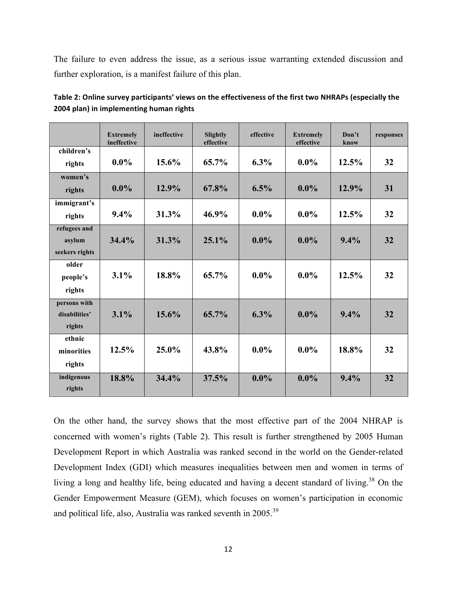The failure to even address the issue, as a serious issue warranting extended discussion and further exploration, is a manifest failure of this plan.

|                                          | <b>Extremely</b><br>ineffective | ineffective | Slightly<br>effective | effective | <b>Extremely</b><br>effective | Don't<br>know | responses |
|------------------------------------------|---------------------------------|-------------|-----------------------|-----------|-------------------------------|---------------|-----------|
| children's<br>rights                     | $0.0\%$                         | 15.6%       | 65.7%                 | $6.3\%$   | $0.0\%$                       | 12.5%         | 32        |
| women's<br>rights                        | $0.0\%$                         | 12.9%       | 67.8%                 | 6.5%      | $0.0\%$                       | 12.9%         | 31        |
| immigrant's<br>rights                    | $9.4\%$                         | 31.3%       | 46.9%                 | $0.0\%$   | $0.0\%$                       | 12.5%         | 32        |
| refugees and<br>asylum<br>seekers rights | 34.4%                           | 31.3%       | 25.1%                 | $0.0\%$   | $0.0\%$                       | $9.4\%$       | 32        |
| older<br>people's<br>rights              | 3.1%                            | 18.8%       | 65.7%                 | $0.0\%$   | $0.0\%$                       | 12.5%         | 32        |
| persons with<br>disabilities'<br>rights  | 3.1%                            | 15.6%       | 65.7%                 | 6.3%      | $0.0\%$                       | 9.4%          | 32        |
| ethnic<br>minorities<br>rights           | 12.5%                           | 25.0%       | 43.8%                 | $0.0\%$   | $0.0\%$                       | 18.8%         | 32        |
| indigenous<br>rights                     | 18.8%                           | 34.4%       | 37.5%                 | $0.0\%$   | $0.0\%$                       | 9.4%          | 32        |

Table 2: Online survey participants' views on the effectiveness of the first two NHRAPs (especially the **2004 plan) in implementing human rights**

On the other hand, the survey shows that the most effective part of the 2004 NHRAP is concerned with women's rights (Table 2). This result is further strengthened by 2005 Human Development Report in which Australia was ranked second in the world on the Gender-related Development Index (GDI) which measures inequalities between men and women in terms of living a long and healthy life, being educated and having a decent standard of living.<sup>38</sup> On the Gender Empowerment Measure (GEM), which focuses on women's participation in economic and political life, also, Australia was ranked seventh in 2005.<sup>39</sup>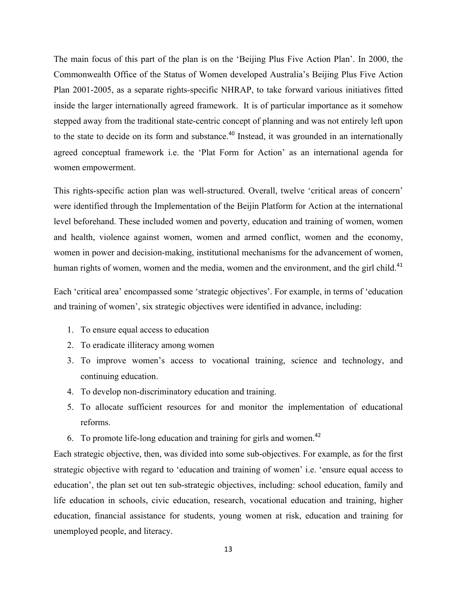The main focus of this part of the plan is on the 'Beijing Plus Five Action Plan'. In 2000, the Commonwealth Office of the Status of Women developed Australia's Beijing Plus Five Action Plan 2001-2005, as a separate rights-specific NHRAP, to take forward various initiatives fitted inside the larger internationally agreed framework. It is of particular importance as it somehow stepped away from the traditional state-centric concept of planning and was not entirely left upon to the state to decide on its form and substance.<sup>40</sup> Instead, it was grounded in an internationally agreed conceptual framework i.e. the 'Plat Form for Action' as an international agenda for women empowerment.

This rights-specific action plan was well-structured. Overall, twelve 'critical areas of concern' were identified through the Implementation of the Beijin Platform for Action at the international level beforehand. These included women and poverty, education and training of women, women and health, violence against women, women and armed conflict, women and the economy, women in power and decision-making, institutional mechanisms for the advancement of women, human rights of women, women and the media, women and the environment, and the girl child.<sup>41</sup>

Each 'critical area' encompassed some 'strategic objectives'. For example, in terms of 'education and training of women', six strategic objectives were identified in advance, including:

- 1. To ensure equal access to education
- 2. To eradicate illiteracy among women
- 3. To improve women's access to vocational training, science and technology, and continuing education.
- 4. To develop non-discriminatory education and training.
- 5. To allocate sufficient resources for and monitor the implementation of educational reforms.
- 6. To promote life-long education and training for girls and women.<sup>42</sup>

Each strategic objective, then, was divided into some sub-objectives. For example, as for the first strategic objective with regard to 'education and training of women' i.e. 'ensure equal access to education', the plan set out ten sub-strategic objectives, including: school education, family and life education in schools, civic education, research, vocational education and training, higher education, financial assistance for students, young women at risk, education and training for unemployed people, and literacy.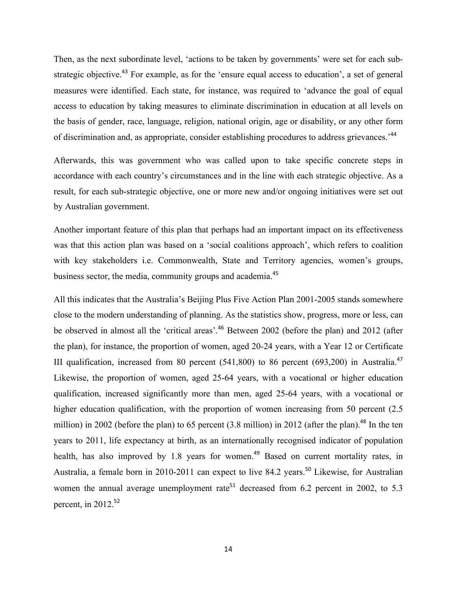Then, as the next subordinate level, 'actions to be taken by governments' were set for each substrategic objective.<sup>43</sup> For example, as for the 'ensure equal access to education', a set of general measures were identified. Each state, for instance, was required to 'advance the goal of equal access to education by taking measures to eliminate discrimination in education at all levels on the basis of gender, race, language, religion, national origin, age or disability, or any other form of discrimination and, as appropriate, consider establishing procedures to address grievances.'<sup>44</sup>

Afterwards, this was government who was called upon to take specific concrete steps in accordance with each country's circumstances and in the line with each strategic objective. As a result, for each sub-strategic objective, one or more new and/or ongoing initiatives were set out by Australian government.

Another important feature of this plan that perhaps had an important impact on its effectiveness was that this action plan was based on a 'social coalitions approach', which refers to coalition with key stakeholders i.e. Commonwealth, State and Territory agencies, women's groups, business sector, the media, community groups and academia.<sup>45</sup>

All this indicates that the Australia's Beijing Plus Five Action Plan 2001-2005 stands somewhere close to the modern understanding of planning. As the statistics show, progress, more or less, can be observed in almost all the 'critical areas'.<sup>46</sup> Between 2002 (before the plan) and 2012 (after the plan), for instance, the proportion of women, aged 20-24 years, with a Year 12 or Certificate III qualification, increased from 80 percent (541,800) to 86 percent (693,200) in Australia.<sup>47</sup> Likewise, the proportion of women, aged 25-64 years, with a vocational or higher education qualification, increased significantly more than men, aged 25-64 years, with a vocational or higher education qualification, with the proportion of women increasing from 50 percent (2.5) million) in 2002 (before the plan) to 65 percent  $(3.8 \text{ million})$  in 2012 (after the plan).<sup>48</sup> In the ten years to 2011, life expectancy at birth, as an internationally recognised indicator of population health, has also improved by 1.8 years for women.<sup>49</sup> Based on current mortality rates, in Australia, a female born in 2010-2011 can expect to live 84.2 years.<sup>50</sup> Likewise, for Australian women the annual average unemployment rate<sup>51</sup> decreased from 6.2 percent in 2002, to 5.3 percent, in  $2012^{52}$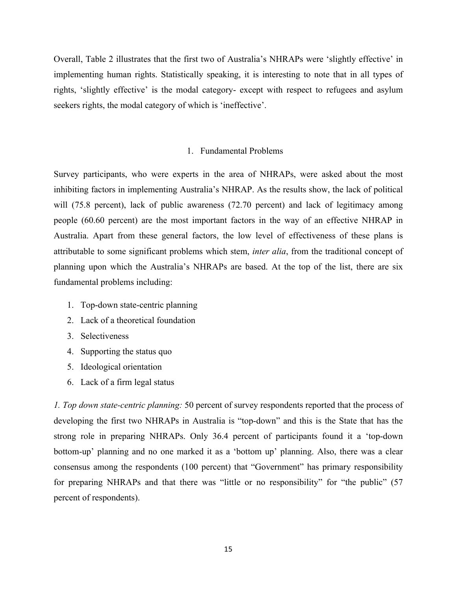Overall, Table 2 illustrates that the first two of Australia's NHRAPs were 'slightly effective' in implementing human rights. Statistically speaking, it is interesting to note that in all types of rights, 'slightly effective' is the modal category- except with respect to refugees and asylum seekers rights, the modal category of which is 'ineffective'.

#### 1. Fundamental Problems

Survey participants, who were experts in the area of NHRAPs, were asked about the most inhibiting factors in implementing Australia's NHRAP. As the results show, the lack of political will (75.8 percent), lack of public awareness (72.70 percent) and lack of legitimacy among people (60.60 percent) are the most important factors in the way of an effective NHRAP in Australia. Apart from these general factors, the low level of effectiveness of these plans is attributable to some significant problems which stem, *inter alia*, from the traditional concept of planning upon which the Australia's NHRAPs are based. At the top of the list, there are six fundamental problems including:

- 1. Top-down state-centric planning
- 2. Lack of a theoretical foundation
- 3. Selectiveness
- 4. Supporting the status quo
- 5. Ideological orientation
- 6. Lack of a firm legal status

*1. Top down state-centric planning:* 50 percent of survey respondents reported that the process of developing the first two NHRAPs in Australia is "top-down" and this is the State that has the strong role in preparing NHRAPs. Only 36.4 percent of participants found it a 'top-down bottom-up' planning and no one marked it as a 'bottom up' planning. Also, there was a clear consensus among the respondents (100 percent) that "Government" has primary responsibility for preparing NHRAPs and that there was "little or no responsibility" for "the public" (57 percent of respondents).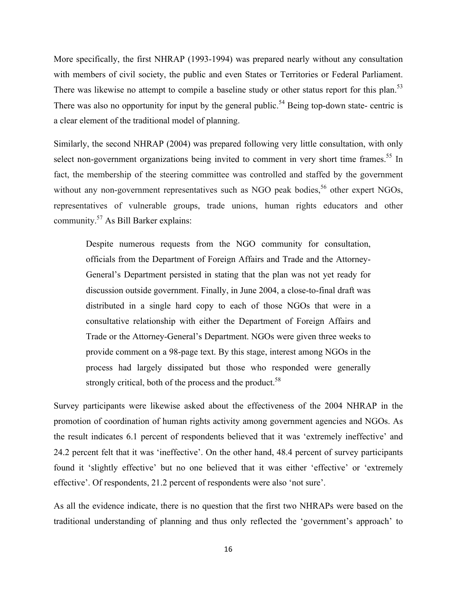More specifically, the first NHRAP (1993-1994) was prepared nearly without any consultation with members of civil society, the public and even States or Territories or Federal Parliament. There was likewise no attempt to compile a baseline study or other status report for this plan.<sup>53</sup> There was also no opportunity for input by the general public.<sup>54</sup> Being top-down state- centric is a clear element of the traditional model of planning.

Similarly, the second NHRAP (2004) was prepared following very little consultation, with only select non-government organizations being invited to comment in very short time frames.<sup>55</sup> In fact, the membership of the steering committee was controlled and staffed by the government without any non-government representatives such as NGO peak bodies,  $56$  other expert NGOs, representatives of vulnerable groups, trade unions, human rights educators and other community.57 As Bill Barker explains:

Despite numerous requests from the NGO community for consultation, officials from the Department of Foreign Affairs and Trade and the Attorney-General's Department persisted in stating that the plan was not yet ready for discussion outside government. Finally, in June 2004, a close-to-final draft was distributed in a single hard copy to each of those NGOs that were in a consultative relationship with either the Department of Foreign Affairs and Trade or the Attorney-General's Department. NGOs were given three weeks to provide comment on a 98-page text. By this stage, interest among NGOs in the process had largely dissipated but those who responded were generally strongly critical, both of the process and the product.<sup>58</sup>

Survey participants were likewise asked about the effectiveness of the 2004 NHRAP in the promotion of coordination of human rights activity among government agencies and NGOs. As the result indicates 6.1 percent of respondents believed that it was 'extremely ineffective' and 24.2 percent felt that it was 'ineffective'. On the other hand, 48.4 percent of survey participants found it 'slightly effective' but no one believed that it was either 'effective' or 'extremely effective'. Of respondents, 21.2 percent of respondents were also 'not sure'.

As all the evidence indicate, there is no question that the first two NHRAPs were based on the traditional understanding of planning and thus only reflected the 'government's approach' to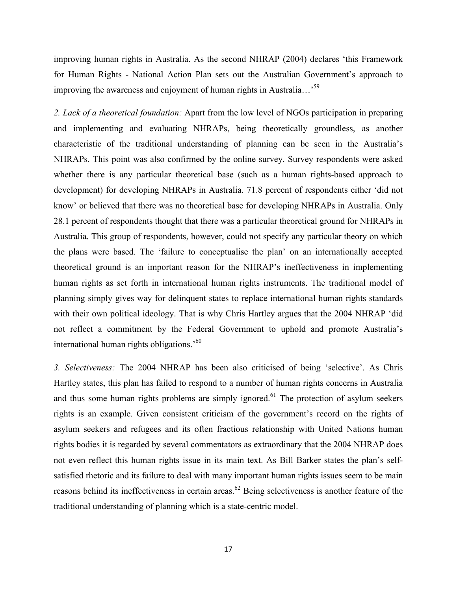improving human rights in Australia. As the second NHRAP (2004) declares 'this Framework for Human Rights - National Action Plan sets out the Australian Government's approach to improving the awareness and enjoyment of human rights in Australia...<sup>59</sup>

*2. Lack of a theoretical foundation:* Apart from the low level of NGOs participation in preparing and implementing and evaluating NHRAPs, being theoretically groundless, as another characteristic of the traditional understanding of planning can be seen in the Australia's NHRAPs. This point was also confirmed by the online survey. Survey respondents were asked whether there is any particular theoretical base (such as a human rights-based approach to development) for developing NHRAPs in Australia. 71.8 percent of respondents either 'did not know' or believed that there was no theoretical base for developing NHRAPs in Australia. Only 28.1 percent of respondents thought that there was a particular theoretical ground for NHRAPs in Australia. This group of respondents, however, could not specify any particular theory on which the plans were based. The 'failure to conceptualise the plan' on an internationally accepted theoretical ground is an important reason for the NHRAP's ineffectiveness in implementing human rights as set forth in international human rights instruments. The traditional model of planning simply gives way for delinquent states to replace international human rights standards with their own political ideology. That is why Chris Hartley argues that the 2004 NHRAP 'did not reflect a commitment by the Federal Government to uphold and promote Australia's international human rights obligations.<sup>60</sup>

*3. Selectiveness:* The 2004 NHRAP has been also criticised of being 'selective'. As Chris Hartley states, this plan has failed to respond to a number of human rights concerns in Australia and thus some human rights problems are simply ignored.<sup>61</sup> The protection of asylum seekers rights is an example. Given consistent criticism of the government's record on the rights of asylum seekers and refugees and its often fractious relationship with United Nations human rights bodies it is regarded by several commentators as extraordinary that the 2004 NHRAP does not even reflect this human rights issue in its main text. As Bill Barker states the plan's selfsatisfied rhetoric and its failure to deal with many important human rights issues seem to be main reasons behind its ineffectiveness in certain areas.<sup>62</sup> Being selectiveness is another feature of the traditional understanding of planning which is a state-centric model.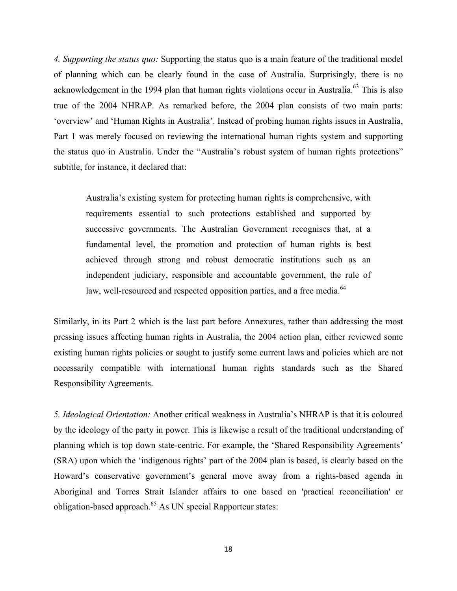*4. Supporting the status quo:* Supporting the status quo is a main feature of the traditional model of planning which can be clearly found in the case of Australia. Surprisingly, there is no acknowledgement in the 1994 plan that human rights violations occur in Australia.<sup>63</sup> This is also true of the 2004 NHRAP. As remarked before, the 2004 plan consists of two main parts: 'overview' and 'Human Rights in Australia'. Instead of probing human rights issues in Australia, Part 1 was merely focused on reviewing the international human rights system and supporting the status quo in Australia. Under the "Australia's robust system of human rights protections" subtitle, for instance, it declared that:

Australia's existing system for protecting human rights is comprehensive, with requirements essential to such protections established and supported by successive governments. The Australian Government recognises that, at a fundamental level, the promotion and protection of human rights is best achieved through strong and robust democratic institutions such as an independent judiciary, responsible and accountable government, the rule of law, well-resourced and respected opposition parties, and a free media.<sup>64</sup>

Similarly, in its Part 2 which is the last part before Annexures, rather than addressing the most pressing issues affecting human rights in Australia, the 2004 action plan, either reviewed some existing human rights policies or sought to justify some current laws and policies which are not necessarily compatible with international human rights standards such as the Shared Responsibility Agreements.

*5. Ideological Orientation:* Another critical weakness in Australia's NHRAP is that it is coloured by the ideology of the party in power. This is likewise a result of the traditional understanding of planning which is top down state-centric. For example, the 'Shared Responsibility Agreements' (SRA) upon which the 'indigenous rights' part of the 2004 plan is based, is clearly based on the Howard's conservative government's general move away from a rights-based agenda in Aboriginal and Torres Strait Islander affairs to one based on 'practical reconciliation' or obligation-based approach.65 As UN special Rapporteur states: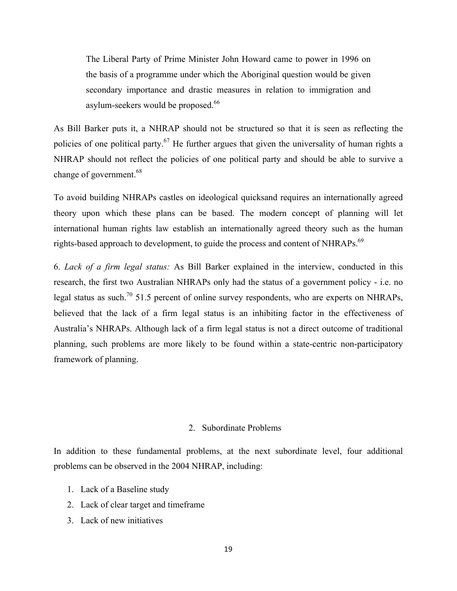The Liberal Party of Prime Minister John Howard came to power in 1996 on the basis of a programme under which the Aboriginal question would be given secondary importance and drastic measures in relation to immigration and asylum-seekers would be proposed.<sup>66</sup>

As Bill Barker puts it, a NHRAP should not be structured so that it is seen as reflecting the policies of one political party.<sup>67</sup> He further argues that given the universality of human rights a NHRAP should not reflect the policies of one political party and should be able to survive a change of government.<sup>68</sup>

To avoid building NHRAPs castles on ideological quicksand requires an internationally agreed theory upon which these plans can be based. The modern concept of planning will let international human rights law establish an internationally agreed theory such as the human rights-based approach to development, to guide the process and content of NHRAPs.<sup>69</sup>

6. *Lack of a firm legal status:* As Bill Barker explained in the interview, conducted in this research, the first two Australian NHRAPs only had the status of a government policy - i.e. no legal status as such.<sup>70</sup> 51.5 percent of online survey respondents, who are experts on NHRAPs, believed that the lack of a firm legal status is an inhibiting factor in the effectiveness of Australia's NHRAPs. Although lack of a firm legal status is not a direct outcome of traditional planning, such problems are more likely to be found within a state-centric non-participatory framework of planning.

## 2. Subordinate Problems

In addition to these fundamental problems, at the next subordinate level, four additional problems can be observed in the 2004 NHRAP, including:

- 1. Lack of a Baseline study
- 2. Lack of clear target and timeframe
- 3. Lack of new initiatives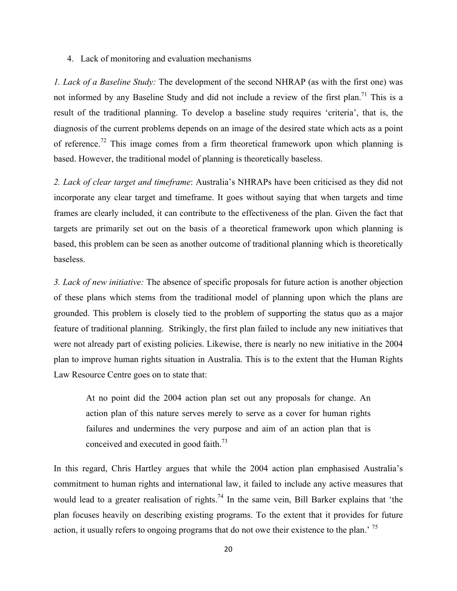#### 4. Lack of monitoring and evaluation mechanisms

*1. Lack of a Baseline Study:* The development of the second NHRAP (as with the first one) was not informed by any Baseline Study and did not include a review of the first plan.<sup>71</sup> This is a result of the traditional planning. To develop a baseline study requires 'criteria', that is, the diagnosis of the current problems depends on an image of the desired state which acts as a point of reference.<sup>72</sup> This image comes from a firm theoretical framework upon which planning is based. However, the traditional model of planning is theoretically baseless.

*2. Lack of clear target and timeframe*: Australia's NHRAPs have been criticised as they did not incorporate any clear target and timeframe. It goes without saying that when targets and time frames are clearly included, it can contribute to the effectiveness of the plan. Given the fact that targets are primarily set out on the basis of a theoretical framework upon which planning is based, this problem can be seen as another outcome of traditional planning which is theoretically baseless.

*3. Lack of new initiative:* The absence of specific proposals for future action is another objection of these plans which stems from the traditional model of planning upon which the plans are grounded. This problem is closely tied to the problem of supporting the status quo as a major feature of traditional planning. Strikingly, the first plan failed to include any new initiatives that were not already part of existing policies. Likewise, there is nearly no new initiative in the 2004 plan to improve human rights situation in Australia. This is to the extent that the Human Rights Law Resource Centre goes on to state that:

At no point did the 2004 action plan set out any proposals for change. An action plan of this nature serves merely to serve as a cover for human rights failures and undermines the very purpose and aim of an action plan that is conceived and executed in good faith.<sup>73</sup>

In this regard, Chris Hartley argues that while the 2004 action plan emphasised Australia's commitment to human rights and international law, it failed to include any active measures that would lead to a greater realisation of rights.<sup>74</sup> In the same vein, Bill Barker explains that 'the plan focuses heavily on describing existing programs. To the extent that it provides for future action, it usually refers to ongoing programs that do not owe their existence to the plan.<sup>75</sup>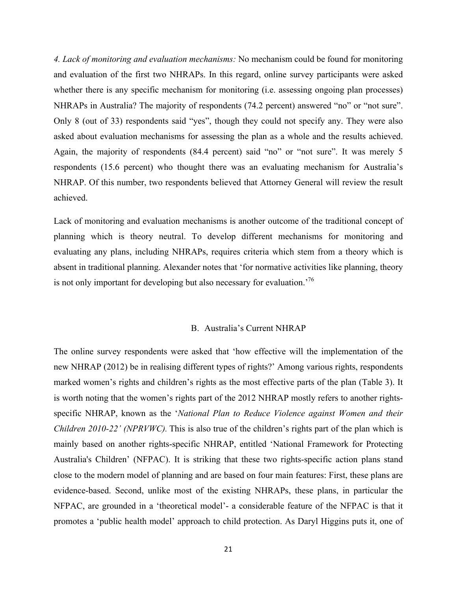*4. Lack of monitoring and evaluation mechanisms:* No mechanism could be found for monitoring and evaluation of the first two NHRAPs. In this regard, online survey participants were asked whether there is any specific mechanism for monitoring (i.e. assessing ongoing plan processes) NHRAPs in Australia? The majority of respondents (74.2 percent) answered "no" or "not sure". Only 8 (out of 33) respondents said "yes", though they could not specify any. They were also asked about evaluation mechanisms for assessing the plan as a whole and the results achieved. Again, the majority of respondents (84.4 percent) said "no" or "not sure". It was merely 5 respondents (15.6 percent) who thought there was an evaluating mechanism for Australia's NHRAP. Of this number, two respondents believed that Attorney General will review the result achieved.

Lack of monitoring and evaluation mechanisms is another outcome of the traditional concept of planning which is theory neutral. To develop different mechanisms for monitoring and evaluating any plans, including NHRAPs, requires criteria which stem from a theory which is absent in traditional planning. Alexander notes that 'for normative activities like planning, theory is not only important for developing but also necessary for evaluation.<sup>''</sup>

## B. Australia's Current NHRAP

The online survey respondents were asked that 'how effective will the implementation of the new NHRAP (2012) be in realising different types of rights?' Among various rights, respondents marked women's rights and children's rights as the most effective parts of the plan (Table 3). It is worth noting that the women's rights part of the 2012 NHRAP mostly refers to another rightsspecific NHRAP, known as the '*National Plan to Reduce Violence against Women and their Children 2010-22' (NPRVWC).* This is also true of the children's rights part of the plan which is mainly based on another rights-specific NHRAP, entitled 'National Framework for Protecting Australia's Children' (NFPAC). It is striking that these two rights-specific action plans stand close to the modern model of planning and are based on four main features: First, these plans are evidence-based. Second, unlike most of the existing NHRAPs, these plans, in particular the NFPAC, are grounded in a 'theoretical model'- a considerable feature of the NFPAC is that it promotes a 'public health model' approach to child protection. As Daryl Higgins puts it, one of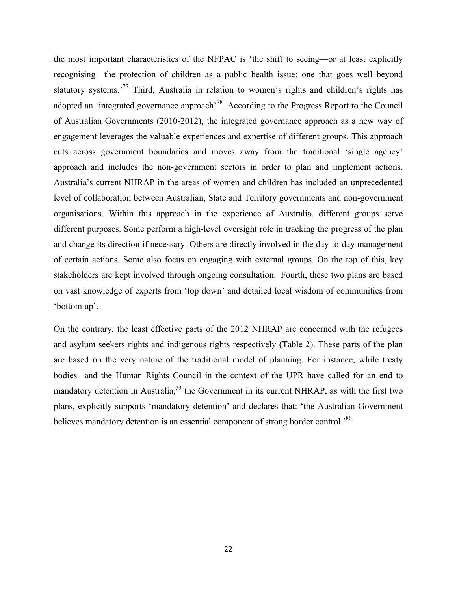the most important characteristics of the NFPAC is 'the shift to seeing—or at least explicitly recognising—the protection of children as a public health issue; one that goes well beyond statutory systems.<sup>77</sup> Third, Australia in relation to women's rights and children's rights has adopted an 'integrated governance approach'78. According to the Progress Report to the Council of Australian Governments (2010-2012), the integrated governance approach as a new way of engagement leverages the valuable experiences and expertise of different groups. This approach cuts across government boundaries and moves away from the traditional 'single agency' approach and includes the non-government sectors in order to plan and implement actions. Australia's current NHRAP in the areas of women and children has included an unprecedented level of collaboration between Australian, State and Territory governments and non-government organisations. Within this approach in the experience of Australia, different groups serve different purposes. Some perform a high-level oversight role in tracking the progress of the plan and change its direction if necessary. Others are directly involved in the day-to-day management of certain actions. Some also focus on engaging with external groups. On the top of this, key stakeholders are kept involved through ongoing consultation. Fourth, these two plans are based on vast knowledge of experts from 'top down' and detailed local wisdom of communities from 'bottom up'.

On the contrary, the least effective parts of the 2012 NHRAP are concerned with the refugees and asylum seekers rights and indigenous rights respectively (Table 2). These parts of the plan are based on the very nature of the traditional model of planning. For instance, while treaty bodies and the Human Rights Council in the context of the UPR have called for an end to mandatory detention in Australia,<sup>79</sup> the Government in its current NHRAP, as with the first two plans, explicitly supports 'mandatory detention' and declares that: 'the Australian Government believes mandatory detention is an essential component of strong border control.<sup>80</sup>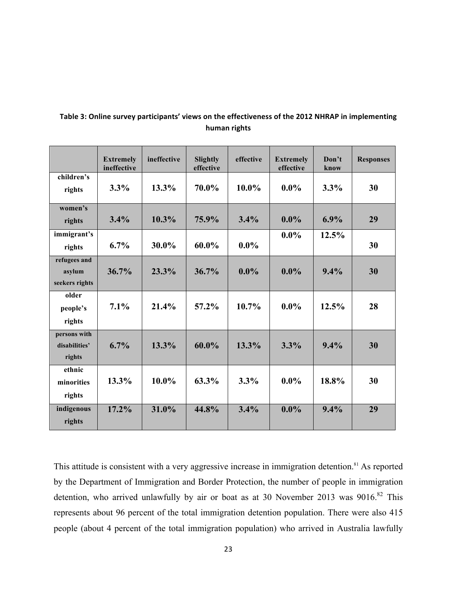|                                          | <b>Extremely</b><br>ineffective | ineffective | Slightly<br>effective | effective | <b>Extremely</b><br>effective | Don't<br>know | <b>Responses</b> |
|------------------------------------------|---------------------------------|-------------|-----------------------|-----------|-------------------------------|---------------|------------------|
| children's<br>rights                     | 3.3%                            | 13.3%       | 70.0%                 | $10.0\%$  | $0.0\%$                       | 3.3%          | 30               |
| women's<br>rights                        | 3.4%                            | 10.3%       | 75.9%                 | 3.4%      | $0.0\%$                       | $6.9\%$       | 29               |
| immigrant's<br>rights                    | $6.7\%$                         | $30.0\%$    | $60.0\%$              | $0.0\%$   | $0.0\%$                       | 12.5%         | 30               |
| refugees and<br>asylum<br>seekers rights | 36.7%                           | 23.3%       | 36.7%                 | $0.0\%$   | $0.0\%$                       | 9.4%          | 30               |
| older<br>people's<br>rights              | 7.1%                            | 21.4%       | 57.2%                 | 10.7%     | $0.0\%$                       | 12.5%         | 28               |
| persons with<br>disabilities'<br>rights  | 6.7%                            | 13.3%       | 60.0%                 | 13.3%     | 3.3%                          | 9.4%          | 30               |
| ethnic<br>minorities<br>rights           | 13.3%                           | 10.0%       | 63.3%                 | 3.3%      | $0.0\%$                       | 18.8%         | 30               |
| indigenous<br>rights                     | 17.2%                           | 31.0%       | 44.8%                 | 3.4%      | $0.0\%$                       | 9.4%          | 29               |

# Table 3: Online survey participants' views on the effectiveness of the 2012 NHRAP in implementing **human rights**

This attitude is consistent with a very aggressive increase in immigration detention. <sup>81</sup> As reported by the Department of Immigration and Border Protection, the number of people in immigration detention, who arrived unlawfully by air or boat as at 30 November 2013 was  $9016$ <sup>82</sup> This represents about 96 percent of the total immigration detention population. There were also 415 people (about 4 percent of the total immigration population) who arrived in Australia lawfully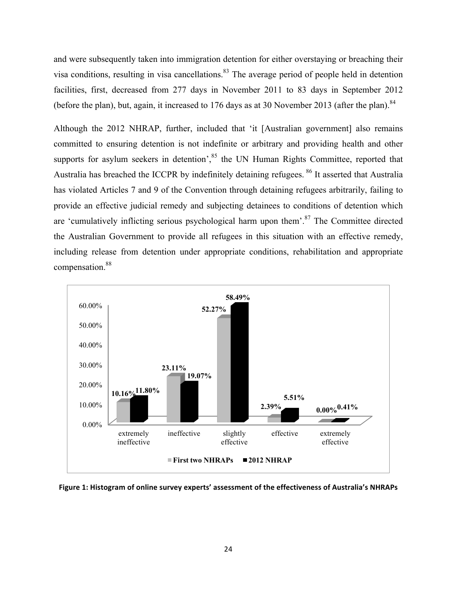and were subsequently taken into immigration detention for either overstaying or breaching their visa conditions, resulting in visa cancellations.<sup>83</sup> The average period of people held in detention facilities, first, decreased from 277 days in November 2011 to 83 days in September 2012 (before the plan), but, again, it increased to 176 days as at 30 November 2013 (after the plan).  $84$ 

Although the 2012 NHRAP, further, included that 'it [Australian government] also remains committed to ensuring detention is not indefinite or arbitrary and providing health and other supports for asylum seekers in detention<sup>',  $85$ </sup> the UN Human Rights Committee, reported that Australia has breached the ICCPR by indefinitely detaining refugees. <sup>86</sup> It asserted that Australia has violated Articles 7 and 9 of the Convention through detaining refugees arbitrarily, failing to provide an effective judicial remedy and subjecting detainees to conditions of detention which are 'cumulatively inflicting serious psychological harm upon them'.<sup>87</sup> The Committee directed the Australian Government to provide all refugees in this situation with an effective remedy, including release from detention under appropriate conditions, rehabilitation and appropriate compensation.<sup>88</sup>



Figure 1: Histogram of online survey experts' assessment of the effectiveness of Australia's NHRAPs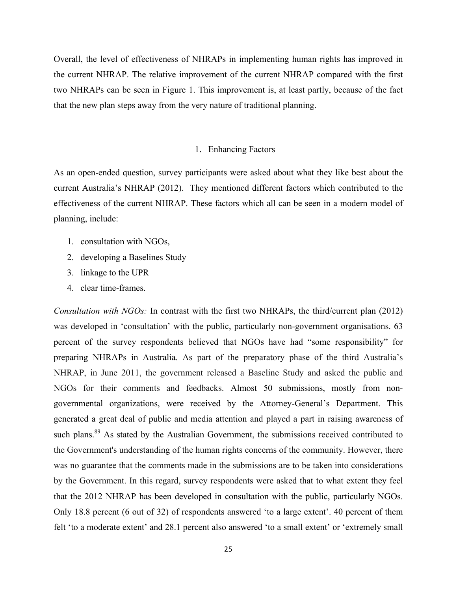Overall, the level of effectiveness of NHRAPs in implementing human rights has improved in the current NHRAP. The relative improvement of the current NHRAP compared with the first two NHRAPs can be seen in Figure 1. This improvement is, at least partly, because of the fact that the new plan steps away from the very nature of traditional planning.

## 1. Enhancing Factors

As an open-ended question, survey participants were asked about what they like best about the current Australia's NHRAP (2012). They mentioned different factors which contributed to the effectiveness of the current NHRAP. These factors which all can be seen in a modern model of planning, include:

- 1. consultation with NGOs,
- 2. developing a Baselines Study
- 3. linkage to the UPR
- 4. clear time-frames.

*Consultation with NGOs:* In contrast with the first two NHRAPs, the third/current plan (2012) was developed in 'consultation' with the public, particularly non-government organisations. 63 percent of the survey respondents believed that NGOs have had "some responsibility" for preparing NHRAPs in Australia. As part of the preparatory phase of the third Australia's NHRAP, in June 2011, the government released a Baseline Study and asked the public and NGOs for their comments and feedbacks. Almost 50 submissions, mostly from nongovernmental organizations, were received by the Attorney-General's Department. This generated a great deal of public and media attention and played a part in raising awareness of such plans.<sup>89</sup> As stated by the Australian Government, the submissions received contributed to the Government's understanding of the human rights concerns of the community. However, there was no guarantee that the comments made in the submissions are to be taken into considerations by the Government. In this regard, survey respondents were asked that to what extent they feel that the 2012 NHRAP has been developed in consultation with the public, particularly NGOs. Only 18.8 percent (6 out of 32) of respondents answered 'to a large extent'. 40 percent of them felt 'to a moderate extent' and 28.1 percent also answered 'to a small extent' or 'extremely small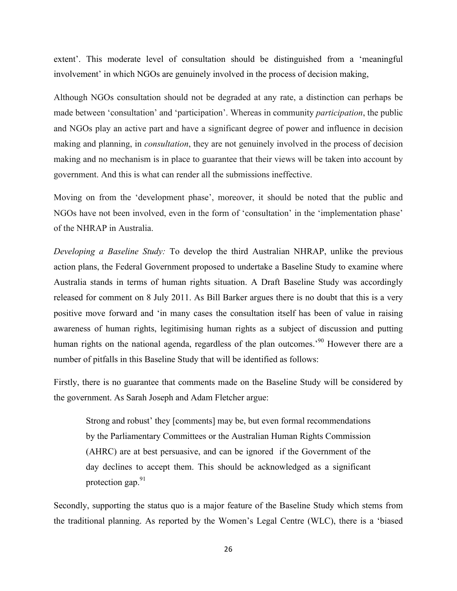extent'. This moderate level of consultation should be distinguished from a 'meaningful involvement' in which NGOs are genuinely involved in the process of decision making,

Although NGOs consultation should not be degraded at any rate, a distinction can perhaps be made between 'consultation' and 'participation'. Whereas in community *participation*, the public and NGOs play an active part and have a significant degree of power and influence in decision making and planning, in *consultation*, they are not genuinely involved in the process of decision making and no mechanism is in place to guarantee that their views will be taken into account by government. And this is what can render all the submissions ineffective.

Moving on from the 'development phase', moreover, it should be noted that the public and NGOs have not been involved, even in the form of 'consultation' in the 'implementation phase' of the NHRAP in Australia.

*Developing a Baseline Study:* To develop the third Australian NHRAP, unlike the previous action plans, the Federal Government proposed to undertake a Baseline Study to examine where Australia stands in terms of human rights situation. A Draft Baseline Study was accordingly released for comment on 8 July 2011. As Bill Barker argues there is no doubt that this is a very positive move forward and 'in many cases the consultation itself has been of value in raising awareness of human rights, legitimising human rights as a subject of discussion and putting human rights on the national agenda, regardless of the plan outcomes.<sup>90</sup> However there are a number of pitfalls in this Baseline Study that will be identified as follows:

Firstly, there is no guarantee that comments made on the Baseline Study will be considered by the government. As Sarah Joseph and Adam Fletcher argue:

Strong and robust' they [comments] may be, but even formal recommendations by the Parliamentary Committees or the Australian Human Rights Commission (AHRC) are at best persuasive, and can be ignored if the Government of the day declines to accept them. This should be acknowledged as a significant protection gap. $91$ 

Secondly, supporting the status quo is a major feature of the Baseline Study which stems from the traditional planning. As reported by the Women's Legal Centre (WLC), there is a 'biased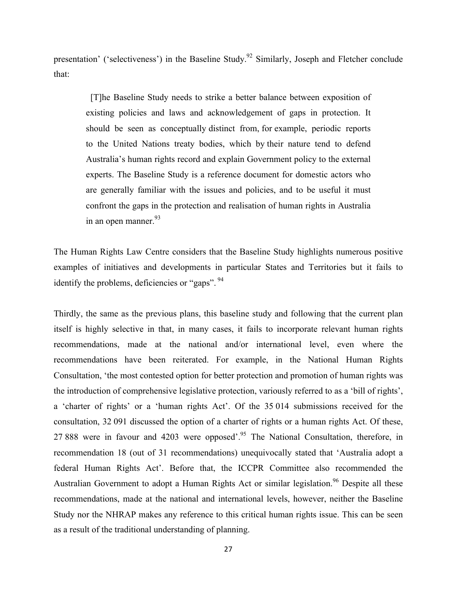presentation' ('selectiveness') in the Baseline Study.<sup>92</sup> Similarly, Joseph and Fletcher conclude that:

 [T]he Baseline Study needs to strike a better balance between exposition of existing policies and laws and acknowledgement of gaps in protection. It should be seen as conceptually distinct from, for example, periodic reports to the United Nations treaty bodies, which by their nature tend to defend Australia's human rights record and explain Government policy to the external experts. The Baseline Study is a reference document for domestic actors who are generally familiar with the issues and policies, and to be useful it must confront the gaps in the protection and realisation of human rights in Australia in an open manner.  $93$ 

The Human Rights Law Centre considers that the Baseline Study highlights numerous positive examples of initiatives and developments in particular States and Territories but it fails to identify the problems, deficiencies or "gaps". <sup>94</sup>

Thirdly, the same as the previous plans, this baseline study and following that the current plan itself is highly selective in that, in many cases, it fails to incorporate relevant human rights recommendations, made at the national and/or international level, even where the recommendations have been reiterated. For example, in the National Human Rights Consultation, 'the most contested option for better protection and promotion of human rights was the introduction of comprehensive legislative protection, variously referred to as a 'bill of rights', a 'charter of rights' or a 'human rights Act'. Of the 35 014 submissions received for the consultation, 32 091 discussed the option of a charter of rights or a human rights Act. Of these, 27 888 were in favour and 4203 were opposed'.<sup>95</sup> The National Consultation, therefore, in recommendation 18 (out of 31 recommendations) unequivocally stated that 'Australia adopt a federal Human Rights Act'. Before that, the ICCPR Committee also recommended the Australian Government to adopt a Human Rights Act or similar legislation.<sup>96</sup> Despite all these recommendations, made at the national and international levels, however, neither the Baseline Study nor the NHRAP makes any reference to this critical human rights issue. This can be seen as a result of the traditional understanding of planning.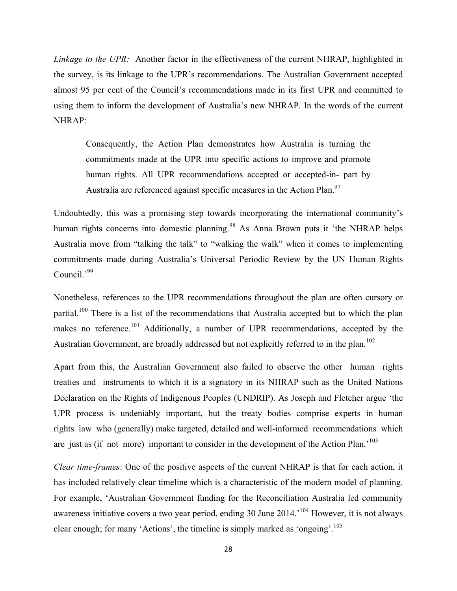*Linkage to the UPR:*Another factor in the effectiveness of the current NHRAP, highlighted in the survey, is its linkage to the UPR's recommendations. The Australian Government accepted almost 95 per cent of the Council's recommendations made in its first UPR and committed to using them to inform the development of Australia's new NHRAP. In the words of the current NHRAP:

Consequently, the Action Plan demonstrates how Australia is turning the commitments made at the UPR into specific actions to improve and promote human rights. All UPR recommendations accepted or accepted-in- part by Australia are referenced against specific measures in the Action Plan.<sup>97</sup>

Undoubtedly, this was a promising step towards incorporating the international community's human rights concerns into domestic planning.<sup>98</sup> As Anna Brown puts it 'the NHRAP helps Australia move from "talking the talk" to "walking the walk" when it comes to implementing commitments made during Australia's Universal Periodic Review by the UN Human Rights Council.'99

Nonetheless, references to the UPR recommendations throughout the plan are often cursory or partial.<sup>100</sup> There is a list of the recommendations that Australia accepted but to which the plan makes no reference.<sup>101</sup> Additionally, a number of UPR recommendations, accepted by the Australian Government, are broadly addressed but not explicitly referred to in the plan.<sup>102</sup>

Apart from this, the Australian Government also failed to observe the other human rights treaties and instruments to which it is a signatory in its NHRAP such as the United Nations Declaration on the Rights of Indigenous Peoples (UNDRIP). As Joseph and Fletcher argue 'the UPR process is undeniably important, but the treaty bodies comprise experts in human rights law who (generally) make targeted, detailed and well-informed recommendations which are just as (if not more) important to consider in the development of the Action Plan.'<sup>103</sup>

*Clear time-frames*: One of the positive aspects of the current NHRAP is that for each action, it has included relatively clear timeline which is a characteristic of the modern model of planning. For example, 'Australian Government funding for the Reconciliation Australia led community awareness initiative covers a two year period, ending 30 June 2014.'104 However, it is not always clear enough; for many 'Actions', the timeline is simply marked as 'ongoing'.105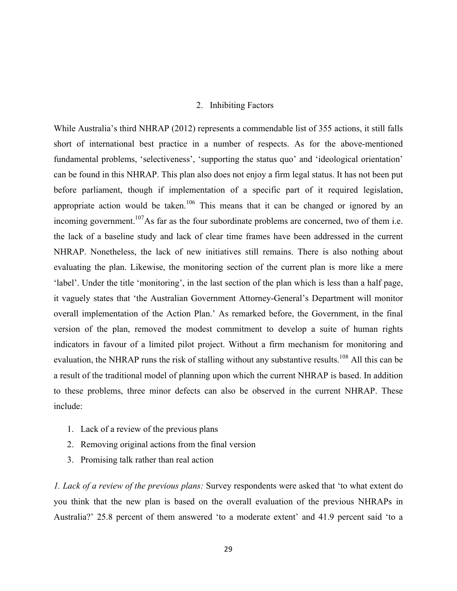## 2. Inhibiting Factors

While Australia's third NHRAP (2012) represents a commendable list of 355 actions, it still falls short of international best practice in a number of respects. As for the above-mentioned fundamental problems, 'selectiveness', 'supporting the status quo' and 'ideological orientation' can be found in this NHRAP. This plan also does not enjoy a firm legal status. It has not been put before parliament, though if implementation of a specific part of it required legislation, appropriate action would be taken.<sup>106</sup> This means that it can be changed or ignored by an incoming government.<sup>107</sup>As far as the four subordinate problems are concerned, two of them i.e. the lack of a baseline study and lack of clear time frames have been addressed in the current NHRAP. Nonetheless, the lack of new initiatives still remains. There is also nothing about evaluating the plan. Likewise, the monitoring section of the current plan is more like a mere 'label'. Under the title 'monitoring', in the last section of the plan which is less than a half page, it vaguely states that 'the Australian Government Attorney-General's Department will monitor overall implementation of the Action Plan.' As remarked before, the Government, in the final version of the plan, removed the modest commitment to develop a suite of human rights indicators in favour of a limited pilot project. Without a firm mechanism for monitoring and evaluation, the NHRAP runs the risk of stalling without any substantive results.<sup>108</sup> All this can be a result of the traditional model of planning upon which the current NHRAP is based. In addition to these problems, three minor defects can also be observed in the current NHRAP. These include:

- 1. Lack of a review of the previous plans
- 2. Removing original actions from the final version
- 3. Promising talk rather than real action

*1. Lack of a review of the previous plans:* Survey respondents were asked that 'to what extent do you think that the new plan is based on the overall evaluation of the previous NHRAPs in Australia?' 25.8 percent of them answered 'to a moderate extent' and 41.9 percent said 'to a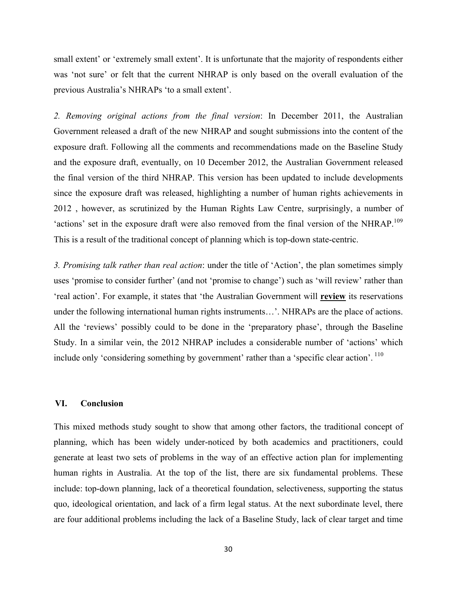small extent' or 'extremely small extent'. It is unfortunate that the majority of respondents either was 'not sure' or felt that the current NHRAP is only based on the overall evaluation of the previous Australia's NHRAPs 'to a small extent'.

*2. Removing original actions from the final version*: In December 2011, the Australian Government released a draft of the new NHRAP and sought submissions into the content of the exposure draft. Following all the comments and recommendations made on the Baseline Study and the exposure draft, eventually, on 10 December 2012, the Australian Government released the final version of the third NHRAP. This version has been updated to include developments since the exposure draft was released, highlighting a number of human rights achievements in 2012 , however, as scrutinized by the Human Rights Law Centre, surprisingly, a number of 'actions' set in the exposure draft were also removed from the final version of the NHRAP.<sup>109</sup> This is a result of the traditional concept of planning which is top-down state-centric.

*3. Promising talk rather than real action*: under the title of 'Action', the plan sometimes simply uses 'promise to consider further' (and not 'promise to change') such as 'will review' rather than 'real action'. For example, it states that 'the Australian Government will **review** its reservations under the following international human rights instruments...'. NHRAPs are the place of actions. All the 'reviews' possibly could to be done in the 'preparatory phase', through the Baseline Study. In a similar vein, the 2012 NHRAP includes a considerable number of 'actions' which include only 'considering something by government' rather than a 'specific clear action'.<sup>110</sup>

#### **VI. Conclusion**

This mixed methods study sought to show that among other factors, the traditional concept of planning, which has been widely under-noticed by both academics and practitioners, could generate at least two sets of problems in the way of an effective action plan for implementing human rights in Australia. At the top of the list, there are six fundamental problems. These include: top-down planning, lack of a theoretical foundation, selectiveness, supporting the status quo, ideological orientation, and lack of a firm legal status. At the next subordinate level, there are four additional problems including the lack of a Baseline Study, lack of clear target and time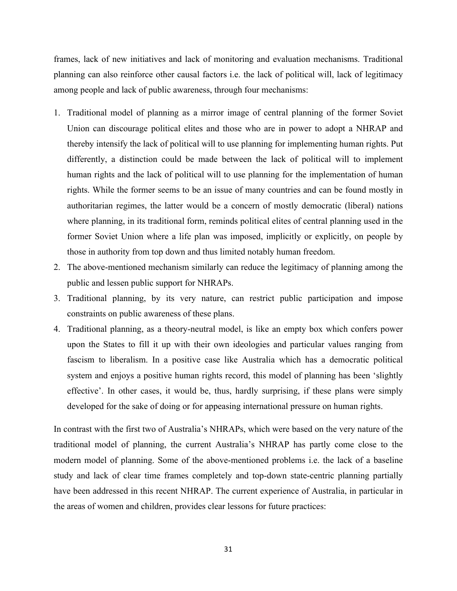frames, lack of new initiatives and lack of monitoring and evaluation mechanisms. Traditional planning can also reinforce other causal factors i.e. the lack of political will, lack of legitimacy among people and lack of public awareness, through four mechanisms:

- 1. Traditional model of planning as a mirror image of central planning of the former Soviet Union can discourage political elites and those who are in power to adopt a NHRAP and thereby intensify the lack of political will to use planning for implementing human rights. Put differently, a distinction could be made between the lack of political will to implement human rights and the lack of political will to use planning for the implementation of human rights. While the former seems to be an issue of many countries and can be found mostly in authoritarian regimes, the latter would be a concern of mostly democratic (liberal) nations where planning, in its traditional form, reminds political elites of central planning used in the former Soviet Union where a life plan was imposed, implicitly or explicitly, on people by those in authority from top down and thus limited notably human freedom.
- 2. The above-mentioned mechanism similarly can reduce the legitimacy of planning among the public and lessen public support for NHRAPs.
- 3. Traditional planning, by its very nature, can restrict public participation and impose constraints on public awareness of these plans.
- 4. Traditional planning, as a theory-neutral model, is like an empty box which confers power upon the States to fill it up with their own ideologies and particular values ranging from fascism to liberalism. In a positive case like Australia which has a democratic political system and enjoys a positive human rights record, this model of planning has been 'slightly effective'. In other cases, it would be, thus, hardly surprising, if these plans were simply developed for the sake of doing or for appeasing international pressure on human rights.

In contrast with the first two of Australia's NHRAPs, which were based on the very nature of the traditional model of planning, the current Australia's NHRAP has partly come close to the modern model of planning. Some of the above-mentioned problems i.e. the lack of a baseline study and lack of clear time frames completely and top-down state-centric planning partially have been addressed in this recent NHRAP. The current experience of Australia, in particular in the areas of women and children, provides clear lessons for future practices: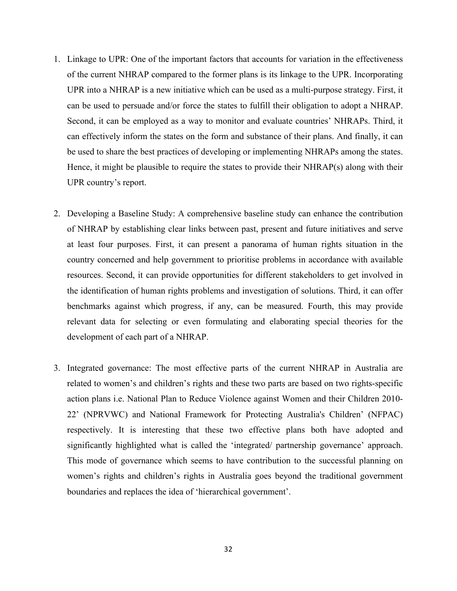- 1. Linkage to UPR: One of the important factors that accounts for variation in the effectiveness of the current NHRAP compared to the former plans is its linkage to the UPR. Incorporating UPR into a NHRAP is a new initiative which can be used as a multi-purpose strategy. First, it can be used to persuade and/or force the states to fulfill their obligation to adopt a NHRAP. Second, it can be employed as a way to monitor and evaluate countries' NHRAPs. Third, it can effectively inform the states on the form and substance of their plans. And finally, it can be used to share the best practices of developing or implementing NHRAPs among the states. Hence, it might be plausible to require the states to provide their NHRAP(s) along with their UPR country's report.
- 2. Developing a Baseline Study: A comprehensive baseline study can enhance the contribution of NHRAP by establishing clear links between past, present and future initiatives and serve at least four purposes. First, it can present a panorama of human rights situation in the country concerned and help government to prioritise problems in accordance with available resources. Second, it can provide opportunities for different stakeholders to get involved in the identification of human rights problems and investigation of solutions. Third, it can offer benchmarks against which progress, if any, can be measured. Fourth, this may provide relevant data for selecting or even formulating and elaborating special theories for the development of each part of a NHRAP.
- 3. Integrated governance: The most effective parts of the current NHRAP in Australia are related to women's and children's rights and these two parts are based on two rights-specific action plans i.e. National Plan to Reduce Violence against Women and their Children 2010- 22' (NPRVWC) and National Framework for Protecting Australia's Children' (NFPAC) respectively. It is interesting that these two effective plans both have adopted and significantly highlighted what is called the 'integrated/ partnership governance' approach. This mode of governance which seems to have contribution to the successful planning on women's rights and children's rights in Australia goes beyond the traditional government boundaries and replaces the idea of 'hierarchical government'.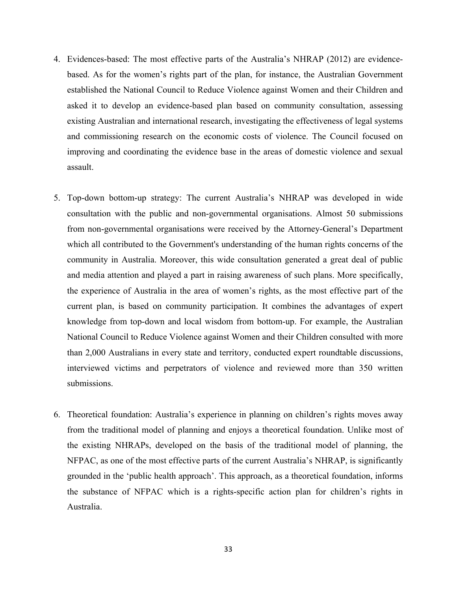- 4. Evidences-based: The most effective parts of the Australia's NHRAP (2012) are evidencebased. As for the women's rights part of the plan, for instance, the Australian Government established the National Council to Reduce Violence against Women and their Children and asked it to develop an evidence-based plan based on community consultation, assessing existing Australian and international research, investigating the effectiveness of legal systems and commissioning research on the economic costs of violence. The Council focused on improving and coordinating the evidence base in the areas of domestic violence and sexual assault.
- 5. Top-down bottom-up strategy: The current Australia's NHRAP was developed in wide consultation with the public and non-governmental organisations. Almost 50 submissions from non-governmental organisations were received by the Attorney-General's Department which all contributed to the Government's understanding of the human rights concerns of the community in Australia. Moreover, this wide consultation generated a great deal of public and media attention and played a part in raising awareness of such plans. More specifically, the experience of Australia in the area of women's rights, as the most effective part of the current plan, is based on community participation. It combines the advantages of expert knowledge from top-down and local wisdom from bottom-up. For example, the Australian National Council to Reduce Violence against Women and their Children consulted with more than 2,000 Australians in every state and territory, conducted expert roundtable discussions, interviewed victims and perpetrators of violence and reviewed more than 350 written submissions.
- 6. Theoretical foundation: Australia's experience in planning on children's rights moves away from the traditional model of planning and enjoys a theoretical foundation. Unlike most of the existing NHRAPs, developed on the basis of the traditional model of planning, the NFPAC, as one of the most effective parts of the current Australia's NHRAP, is significantly grounded in the 'public health approach'. This approach, as a theoretical foundation, informs the substance of NFPAC which is a rights-specific action plan for children's rights in Australia.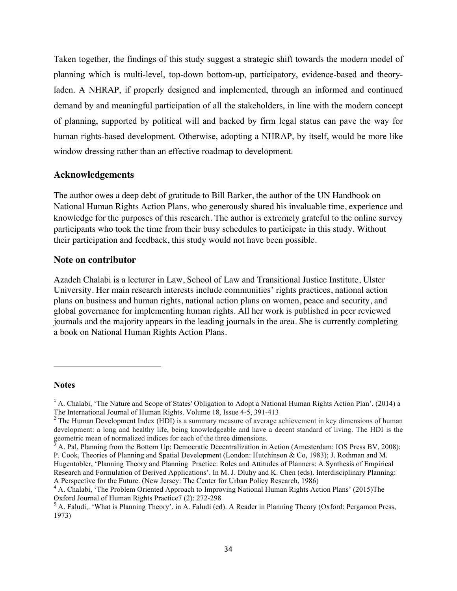Taken together, the findings of this study suggest a strategic shift towards the modern model of planning which is multi-level, top-down bottom-up, participatory, evidence-based and theoryladen. A NHRAP, if properly designed and implemented, through an informed and continued demand by and meaningful participation of all the stakeholders, in line with the modern concept of planning, supported by political will and backed by firm legal status can pave the way for human rights-based development. Otherwise, adopting a NHRAP, by itself, would be more like window dressing rather than an effective roadmap to development.

# **Acknowledgements**

The author owes a deep debt of gratitude to Bill Barker, the author of the UN Handbook on National Human Rights Action Plans, who generously shared his invaluable time, experience and knowledge for the purposes of this research. The author is extremely grateful to the online survey participants who took the time from their busy schedules to participate in this study. Without their participation and feedback, this study would not have been possible.

# **Note on contributor**

<u> 1989 - Johann Barn, mars ann an t-Amhain an t-Amhain an t-Amhain an t-Amhain an t-Amhain an t-Amhain an t-Amh</u>

Azadeh Chalabi is a lecturer in Law, School of Law and Transitional Justice Institute, Ulster University. Her main research interests include communities' rights practices, national action plans on business and human rights, national action plans on women, peace and security, and global governance for implementing human rights. All her work is published in peer reviewed journals and the majority appears in the leading journals in the area. She is currently completing a book on National Human Rights Action Plans.

## **Notes**

<sup>&</sup>lt;sup>1</sup> A. Chalabi, 'The Nature and Scope of States' Obligation to Adopt a National Human Rights Action Plan', (2014) a The International Journal of Human Rights. Volume 18, Issue 4-5, 391-413<br><sup>2</sup> The Human Development Index (HDI) is a summary measure of average achievement in key dimensions of human

development: a long and healthy life, being knowledgeable and have a decent standard of living. The HDI is the geometric mean of normalized indices for each of the three dimensions.

A. Pal, Planning from the Bottom Up: Democratic Decentralization in Action (Amesterdam: IOS Press BV, 2008); P. Cook, Theories of Planning and Spatial Development (London: Hutchinson & Co, 1983); J. Rothman and M. Hugentobler, 'Planning Theory and Planning Practice: Roles and Attitudes of Planners: A Synthesis of Empirical Research and Formulation of Derived Applications'. In M. J. Dluhy and K. Chen (eds). Interdisciplinary Planning: A Perspective for the Future. (New Jersey: The Center for Urban Policy Research, 1986)

<sup>&</sup>lt;sup>4</sup> A. Chalabi, 'The Problem Oriented Approach to Improving National Human Rights Action Plans' (2015)The Oxford Journal of Human Rights Practice7 (2): 272-298<br>  $5$  A. Faludi,. 'What is Planning Theory'. in A. Faludi (ed). A Reader in Planning Theory (Oxford: Pergamon Press,

<sup>1973)</sup>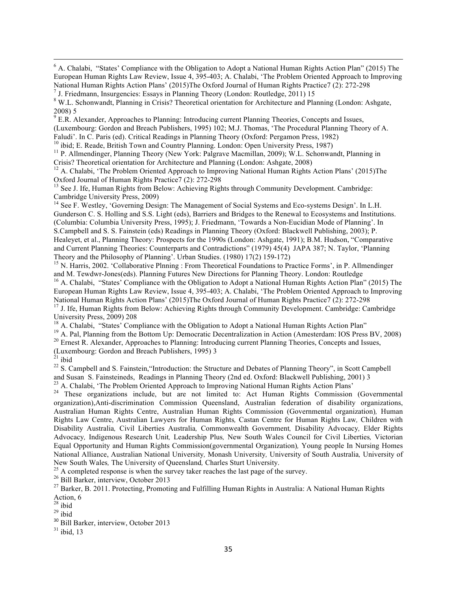<sup>6</sup> A. Chalabi, "States' Compliance with the Obligation to Adopt a National Human Rights Action Plan" (2015) The European Human Rights Law Review, Issue 4, 395-403; A. Chalabi, 'The Problem Oriented Approach to Improving National Human Rights Action Plans' (2015)The Oxford Journal of Human Rights Practice7 (2): 272-298<br><sup>7</sup> J. Friedmann, Insurgencies: Essays in Planning Theory (London: Routledge, 2011) 15

 

<sup>9</sup> E.R. Alexander, Approaches to Planning: Introducing current Planning Theories, Concepts and Issues,

(Luxembourg: Gordon and Breach Publishers, 1995) 102; M.J. Thomas, 'The Procedural Planning Theory of A.

Faludi'. In C. Paris (ed). Critical Readings in Planning Theory (Oxford: Pergamon Press, 1982)<br><sup>10</sup> ibid; E. Reade, British Town and Country Planning. London: Open University Press, 1987)<br><sup>11</sup> P. Allmendinger, Planning The

Crisis? Theoretical orientation for Architecture and Planning (London: Ashgate, 2008) <sup>12</sup> A. Chalabi, 'The Problem Oriented Approach to Improving National Human Rights Action Plans' (2015)The

Oxford Journal of Human Rights Practice7 (2): 272-298<br><sup>13</sup> See J. Ife, Human Rights from Below: Achieving Rights through Community Development. Cambridge:

Cambridge University Press, 2009)

<sup>14</sup> See F. Westley, 'Governing Design: The Management of Social Systems and Eco-systems Design'. In L.H. Gunderson C. S. Holling and S.S. Light (eds), Barriers and Bridges to the Renewal to Ecosystems and Institutions. (Columbia: Columbia University Press, 1995); J. Friedmann, 'Towards a Non-Eucidian Mode of Planning'. In S.Campbell and S. S. Fainstein (eds) Readings in Planning Theory (Oxford: Blackwell Publishing, 2003); P. Healeyet, et al., Planning Theory: Prospects for the 1990s (London: Ashgate, 1991); B.M. Hudson, "Comparative and Current Planning Theories: Counterparts and Contradictions" (1979) 45(4) JAPA 387; N. Taylor, 'Planning

Theory and the Philosophy of Planning'. Urban Studies. (1980) 17(2) 159-172)<br><sup>15</sup> N. Harris, 2002. 'Collaborative Plnning : From Theoretical Foundations to Practice Forms', in P. Allmendinger<br>and M. Tewdwr-Jones(eds). Plan

<sup>16</sup> A. Chalabi, "States' Compliance with the Obligation to Adopt a National Human Rights Action Plan" (2015) The European Human Rights Law Review, Issue 4, 395-403; A. Chalabi, 'The Problem Oriented Approach to Improving National Human Rights Action Plans' (2015)The Oxford Journal of Human Rights Practice7 (2): 272-298

<sup>17</sup> J. Ife, Human Rights from Below: Achieving Rights through Community Development. Cambridge: Cambridge University Press, 2009) 208<br><sup>18</sup> A. Chalabi. "States' Compliance with the Obligation to Adopt a National Human Rights Action Plan"

<sup>19</sup> A. Pal, Planning from the Bottom Up: Democratic Decentralization in Action (Amesterdam: IOS Press BV, 2008)<br><sup>20</sup> Ernest R. Alexander, Approaches to Planning: Introducing current Planning Theories, Concepts and Issues

(Luxembourg: Gordon and Breach Publishers, 1995) 3<br><sup>21</sup> ibid

<sup>22</sup> S. Campbell and S. Fainstein, "Introduction: the Structure and Debates of Planning Theory", in Scott Campbell and Susan S. Fainsteineds, Readings in Planning Theory (2nd ed. Oxford: Blackwell Publishing, 2001) 3

<sup>23</sup> A. Chalabi, 'The Problem Oriented Approach to Improving National Human Rights Action Plans'<br><sup>24</sup> These organizations include, but are not limited to: Act Human Rights Commission (Governmental organization),Anti-discrimination Commission Queensland, Australian federation of disability organizations, Australian Human Rights Centre, Australian Human Rights Commission (Governmental organization)*,* Human Rights Law Centre, Australian Lawyers for Human Rights*,* Castan Centre for Human Rights Law*,* Children with Disability Australia*,* Civil Liberties Australia*,* Commonwealth Government*,* Disability Advocacy*,* Elder Rights Advocacy*,* Indigenous Research Unit*,* Leadership Plus*,* New South Wales Council for Civil Liberties*,* Victorian Equal Opportunity and Human Rights Commission(governmental Organization)*,* Young people In Nursing Homes National Alliance, Australian National University*,* Monash University*,* University of South Australia*,* University of

New South Wales, The University of Queensland, Charles Sturt University.<br>
<sup>25</sup> A completed response is when the survey taker reaches the last page of the survey.<br>
<sup>26</sup> Bill Barker, interview, October 2013<br>
<sup>27</sup> Barker, B. Action,  $6\frac{28}{10}$  ibid

<sup>8</sup> W.L. Schonwandt, Planning in Crisis? Theoretical orientation for Architecture and Planning (London: Ashgate, 2008) 5

 $\frac{29}{30}$  ibid  $\frac{30}{30}$  Bill Barker, interview, October 2013

 $31$  ibid, 13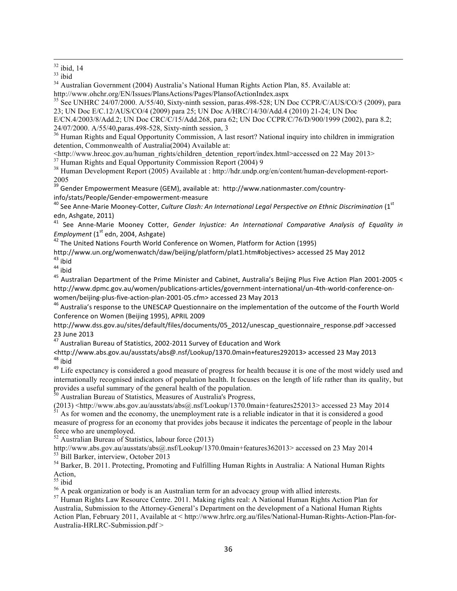<sup>32</sup> ibid, 14<br><sup>33</sup> ibid<br><sup>34</sup> Australian Government (2004) Australia's National Human Rights Action Plan, 85. Available at: http://www.ohchr.org/EN/Issues/PlansActions/Pages/PlansofActionIndex.aspx

 $35$  See UNHRC 24/07/2000. A/55/40, Sixty-ninth session, paras.498-528; UN Doc CCPR/C/AUS/CO/5 (2009), para 23; UN Doc E/C.12/AUS/CO/4 (2009) para 25; UN Doc A/HRC/14/30/Add.4 (2010) 21-24; UN Doc

E/CN.4/2003/8/Add.2; UN Doc CRC/C/15/Add.268, para 62; UN Doc CCPR/C/76/D/900/1999 (2002), para 8.2;

24/07/2000. A/55/40, paras.498-528, Sixty-ninth session, 3<br><sup>36</sup> Human Rights and Equal Opportunity Commission, A last resort? National inquiry into children in immigration detention, Commonwealth of Australia(2004) Available at:<br>
<http://www.hreoc.gov.au/human rights/children detention report/index.html>accessed on 22 May 2013>

<sup>37</sup> Human Rights and Equal Opportunity Commission Report (2004) 9<br><sup>38</sup> Human Development Report (2005) Available at : http://hdr.undp.org/en/content/human-development-report-2005

2005<br><sup>39</sup> Gender Empowerment Measure (GEM), available at: http://www.nationmaster.com/country-<br>info/stats/People/Gender-empowerment-measure

<sup>40</sup> See Anne-Marie Mooney-Cotter, *Culture Clash: An International Legal Perspective on Ethnic Discrimination* (1st edn, Ashgate, 2011)

<sup>41</sup> See Anne-Marie Mooney Cotter, *Gender Injustice: An International Comparative Analysis of Equality in Employment* (1<sup>st</sup> edn, 2004, Ashgate)<br><sup>42</sup> The United Nations Fourth World Conference on Women, Platform for Action (1995)

http://www.un.org/womenwatch/daw/beijing/platform/plat1.htm#objectives> accessed 25 May 2012<br><sup>43</sup> ibid<br><sup>44</sup> ibid<br><sup>45</sup> Australian Department of the Prime Minister and Cabinet, Australia's Beijing Plus Five Action Plan 2001http://www.dpmc.gov.au/women/publications-articles/government-international/un-4th-world-conference-onwomen/beijing-plus-five-action-plan-2001-05.cfm> accessed 23 May 2013<br><sup>46</sup> Australia's response to the UNESCAP Questionnaire on the implementation of the outcome of the Fourth World

Conference on Women (Beijing 1995), APRIL 2009

http://www.dss.gov.au/sites/default/files/documents/05\_2012/unescap\_questionnaire\_response.pdf >accessed 23 June 2013

25 June 2010<br><sup>47</sup> Australian Bureau of Statistics, 2002-2011 Survey of Education and Work

<http://www.abs.gov.au/ausstats/abs@.nsf/Lookup/1370.0main+features292013> accessed 23 May 2013<br><sup>48</sup> ihid

<sup>49</sup> Life expectancy is considered a good measure of progress for health because it is one of the most widely used and internationally recognised indicators of population health. It focuses on the length of life rather than its quality, but provides a useful summary of the general health of the population. 50 Australian Bureau of Statistics, Measures of Australia's Progress,

(2013)  $\lt$ http://www.abs.gov.au/ausstats/abs@.nsf/Lookup/1370.0main+features252013> accessed 23 May 2014 <sup>51</sup> As for women and the economy, the unemployment rate is a reliable indicator in that it is considered a good measure of progress for an economy that provides jobs because it indicates the percentage of people in the labour force who are unemployed.

 $52$  Australian Bureau of Statistics, labour force (2013)

http://www.abs.gov.au/ausstats/abs@.nsf/Lookup/1370.0main+features362013> accessed on 23 May 2014<br><sup>53</sup> Bill Barker. interview. October 2013

 $54$  Barker, B. 2011. Protecting, Promoting and Fulfilling Human Rights in Australia: A National Human Rights Action,  $55$  ibid

<sup>56</sup> A peak organization or body is an Australian term for an advocacy group with allied interests.<br><sup>57</sup> Human Rights Law Resource Centre. 2011. Making rights real: A National Human Rights Action Plan for Australia, Submission to the Attorney-General's Department on the development of a National Human Rights Action Plan, February 2011, Available at < http://www.hrlrc.org.au/files/National-Human-Rights-Action-Plan-for-Australia-HRLRC-Submission.pdf >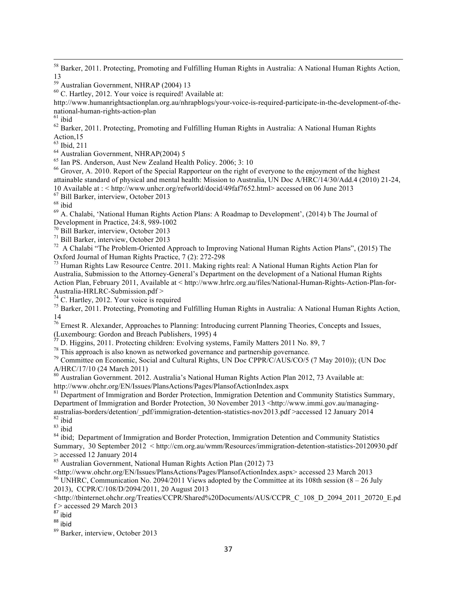<sup>58</sup> Barker, 2011. Protecting, Promoting and Fulfilling Human Rights in Australia: A National Human Rights Action, <sup>13</sup><br><sup>59</sup> Australian Government, NHRAP (2004) 13

 $60$  C. Hartley, 2012. Your voice is required! Available at:

http://www.humanrightsactionplan.org.au/nhrapblogs/your-voice-is-required-participate-in-the-development-of-the-

<sup>61</sup> ibid<br><sup>62</sup> Barker, 2011. Protecting, Promoting and Fulfilling Human Rights in Australia: A National Human Rights

Action,  $15$ <sup>63</sup> Ibid,  $211$ 

<sup>64</sup> Australian Government, NHRAP(2004) 5<br><sup>65</sup> Ian PS. Anderson, Aust New Zealand Health Policy. 2006; 3: 10<br><sup>66</sup> Grover, A. 2010. Report of the Special Rapporteur on the right of everyone to the enjoyment of the highest attainable standard of physical and mental health: Mission to Australia, UN Doc A/HRC/14/30/Add.4 (2010) 21-24,

10 Available at : < http://www.unhcr.org/refworld/docid/49faf7652.html> accessed on 06 June 2013

<sup>68</sup> ibid<br><sup>69</sup> A. Chalabi, 'National Human Rights Action Plans: A Roadmap to Development', (2014) b The Journal of Development in Practice, 24:8, 989-1002

<sup>70</sup> Bill Barker, interview, October 2013<br><sup>71</sup> Bill Barker, interview, October 2013<br><sup>72</sup> A Chalabi "The Problem-Oriented Approach to Improving National Human Rights Action Plans", (2015) The<br>Oxford Journal of Human Rights

 $^{73}$  Human Rights Law Resource Centre. 2011. Making rights real: A National Human Rights Action Plan for Australia, Submission to the Attorney-General's Department on the development of a National Human Rights Action Plan, February 2011, Available at < http://www.hrlrc.org.au/files/National-Human-Rights-Action-Plan-for-

Australia-HRLP-Submission.pdf -<br>
<sup>74</sup> C. Hartley, 2012. Your voice is required<br>
<sup>75</sup> Barker, 2011. Protecting, Promoting and Fulfilling Human Rights in Australia: A National Human Rights Action, 14

 $76$  Ernest R. Alexander, Approaches to Planning: Introducing current Planning Theories, Concepts and Issues, (Luxembourg: Gordon and Breach Publishers, 1995) 4<br>
<sup>77</sup> D. Hississ 2011.

 $^{77}$  D. Higgins, 2011. Protecting children: Evolving systems, Family Matters 2011 No. 89, 7<sup>8</sup> This approach is also known as networked governance and partnership governance.

<sup>79</sup> Committee on Economic, Social and Cultural Rights, UN Doc CPPR/C/AUS/CO/5 (7 May 2010)); (UN Doc A/HRC/17/10 (24 March 2011)

<sup>80</sup> Australian Government. 2012. Australia's National Human Rights Action Plan 2012, 73 Available at:<br>http://www.ohchr.org/EN/Issues/PlansActions/Pages/PlansofActionIndex.aspx

<sup>81</sup> Department of Immigration and Border Protection, Immigration Detention and Community Statistics Summary, Department of Immigration and Border Protection, 30 November 2013 <http://www.immi.gov.au/managingaustralias-borders/detention/\_pdf/immigration-detention-statistics-nov2013.pdf >accessed 12 January 2014<br><sup>82</sup> ibid<br><sup>83</sup> ibid; Department of Immigration and Border Protection, Immigration Detention and Community Statistics

Summary, 30 September 2012 < http://cm.org.au/wmm/Resources/immigration-detention-statistics-20120930.pdf > accessed 12 January 2014

<sup>85</sup> Australian Government, National Human Rights Action Plan (2012) 73

<http://www.ohchr.org/EN/Issues/PlansActions/Pages/PlansofActionIndex.aspx> accessed 23 March 2013 <sup>86</sup> UNHRC, Communication No. 2094/2011 Views adopted by the Committee at its 108th session (8 – 26 July

2013), CCPR/C/108/D/2094/2011, 20 August 2013

<http://tbinternet.ohchr.org/Treaties/CCPR/Shared%20Documents/AUS/CCPR\_C\_108\_D\_2094\_2011\_20720\_E.pd f > accessed 29 March 2013<br> $\frac{87}{88}$  ibid  $\frac{88}{88}$  ibid

<sup>89</sup> Barker, interview, October 2013